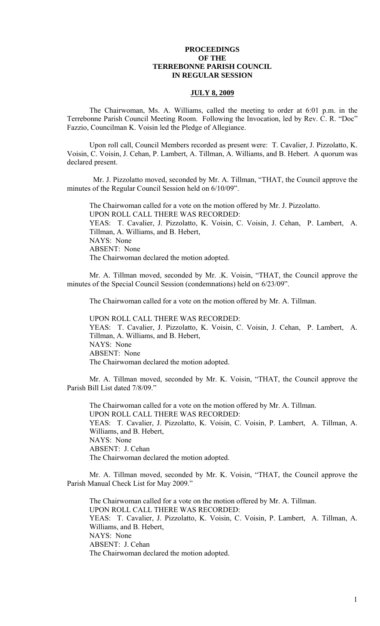## **PROCEEDINGS OF THE TERREBONNE PARISH COUNCIL IN REGULAR SESSION**

## **JULY 8, 2009**

 The Chairwoman, Ms. A. Williams, called the meeting to order at 6:01 p.m. in the Terrebonne Parish Council Meeting Room. Following the Invocation, led by Rev. C. R. "Doc" Fazzio, Councilman K. Voisin led the Pledge of Allegiance.

Upon roll call, Council Members recorded as present were: T. Cavalier, J. Pizzolatto, K. Voisin, C. Voisin, J. Cehan, P. Lambert, A. Tillman, A. Williams, and B. Hebert. A quorum was declared present.

 Mr. J. Pizzolatto moved, seconded by Mr. A. Tillman, "THAT, the Council approve the minutes of the Regular Council Session held on 6/10/09".

The Chairwoman called for a vote on the motion offered by Mr. J. Pizzolatto. UPON ROLL CALL THERE WAS RECORDED: YEAS: T. Cavalier, J. Pizzolatto, K. Voisin, C. Voisin, J. Cehan, P. Lambert, A. Tillman, A. Williams, and B. Hebert, NAYS: None ABSENT: None The Chairwoman declared the motion adopted.

 Mr. A. Tillman moved, seconded by Mr. .K. Voisin, "THAT, the Council approve the minutes of the Special Council Session (condemnations) held on 6/23/09".

The Chairwoman called for a vote on the motion offered by Mr. A. Tillman.

UPON ROLL CALL THERE WAS RECORDED: YEAS: T. Cavalier, J. Pizzolatto, K. Voisin, C. Voisin, J. Cehan, P. Lambert, A. Tillman, A. Williams, and B. Hebert, NAYS: None ABSENT: None The Chairwoman declared the motion adopted.

Mr. A. Tillman moved, seconded by Mr. K. Voisin, "THAT, the Council approve the Parish Bill List dated 7/8/09."

The Chairwoman called for a vote on the motion offered by Mr. A. Tillman. UPON ROLL CALL THERE WAS RECORDED: YEAS: T. Cavalier, J. Pizzolatto, K. Voisin, C. Voisin, P. Lambert, A. Tillman, A. Williams, and B. Hebert, NAYS: None ABSENT: J. Cehan The Chairwoman declared the motion adopted.

Mr. A. Tillman moved, seconded by Mr. K. Voisin, "THAT, the Council approve the Parish Manual Check List for May 2009."

The Chairwoman called for a vote on the motion offered by Mr. A. Tillman. UPON ROLL CALL THERE WAS RECORDED: YEAS: T. Cavalier, J. Pizzolatto, K. Voisin, C. Voisin, P. Lambert, A. Tillman, A. Williams, and B. Hebert, NAYS: None ABSENT: J. Cehan The Chairwoman declared the motion adopted.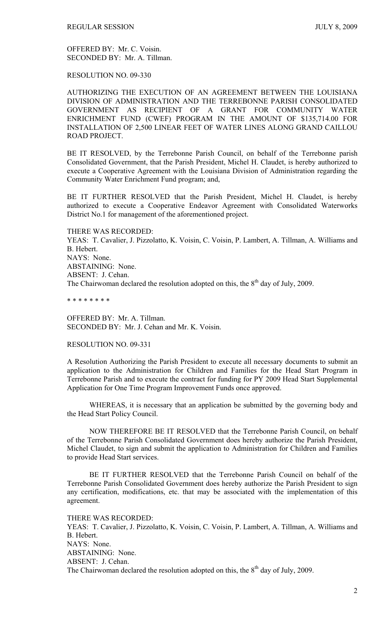OFFERED BY: Mr. C. Voisin. SECONDED BY: Mr. A. Tillman.

RESOLUTION NO. 09-330

AUTHORIZING THE EXECUTION OF AN AGREEMENT BETWEEN THE LOUISIANA DIVISION OF ADMINISTRATION AND THE TERREBONNE PARISH CONSOLIDATED GOVERNMENT AS RECIPIENT OF A GRANT FOR COMMUNITY WATER ENRICHMENT FUND (CWEF) PROGRAM IN THE AMOUNT OF \$135,714.00 FOR INSTALLATION OF 2,500 LINEAR FEET OF WATER LINES ALONG GRAND CAILLOU ROAD PROJECT.

BE IT RESOLVED, by the Terrebonne Parish Council, on behalf of the Terrebonne parish Consolidated Government, that the Parish President, Michel H. Claudet, is hereby authorized to execute a Cooperative Agreement with the Louisiana Division of Administration regarding the Community Water Enrichment Fund program; and,

BE IT FURTHER RESOLVED that the Parish President, Michel H. Claudet, is hereby authorized to execute a Cooperative Endeavor Agreement with Consolidated Waterworks District No.1 for management of the aforementioned project.

THERE WAS RECORDED:

YEAS: T. Cavalier, J. Pizzolatto, K. Voisin, C. Voisin, P. Lambert, A. Tillman, A. Williams and B. Hebert. NAYS: None. ABSTAINING: None. ABSENT: J. Cehan. The Chairwoman declared the resolution adopted on this, the  $8<sup>th</sup>$  day of July, 2009.

\* \* \* \* \* \* \* \*

OFFERED BY: Mr. A. Tillman. SECONDED BY: Mr. J. Cehan and Mr. K. Voisin.

#### RESOLUTION NO. 09-331

A Resolution Authorizing the Parish President to execute all necessary documents to submit an application to the Administration for Children and Families for the Head Start Program in Terrebonne Parish and to execute the contract for funding for PY 2009 Head Start Supplemental Application for One Time Program Improvement Funds once approved.

 WHEREAS, it is necessary that an application be submitted by the governing body and the Head Start Policy Council.

 NOW THEREFORE BE IT RESOLVED that the Terrebonne Parish Council, on behalf of the Terrebonne Parish Consolidated Government does hereby authorize the Parish President, Michel Claudet, to sign and submit the application to Administration for Children and Families to provide Head Start services.

 BE IT FURTHER RESOLVED that the Terrebonne Parish Council on behalf of the Terrebonne Parish Consolidated Government does hereby authorize the Parish President to sign any certification, modifications, etc. that may be associated with the implementation of this agreement.

THERE WAS RECORDED:

YEAS: T. Cavalier, J. Pizzolatto, K. Voisin, C. Voisin, P. Lambert, A. Tillman, A. Williams and B. Hebert. NAYS: None. ABSTAINING: None. ABSENT: J. Cehan. The Chairwoman declared the resolution adopted on this, the  $8<sup>th</sup>$  day of July, 2009.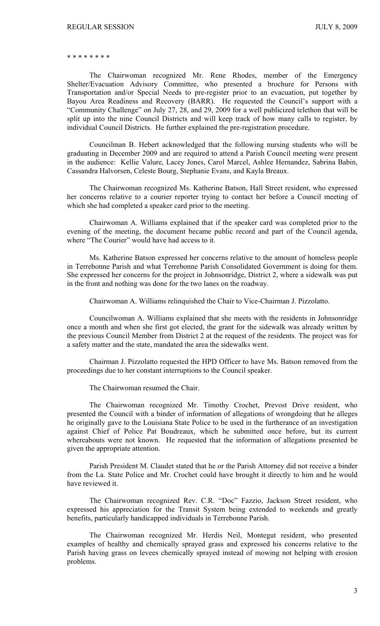#### \* \* \* \* \* \* \* \*

 The Chairwoman recognized Mr. Rene Rhodes, member of the Emergency Shelter/Evacuation Advisory Committee, who presented a brochure for Persons with Transportation and/or Special Needs to pre-register prior to an evacuation, put together by Bayou Area Readiness and Recovery (BARR). He requested the Council's support with a "Community Challenge" on July 27, 28, and 29, 2009 for a well publicized telethon that will be split up into the nine Council Districts and will keep track of how many calls to register, by individual Council Districts. He further explained the pre-registration procedure.

 Councilman B. Hebert acknowledged that the following nursing students who will be graduating in December 2009 and are required to attend a Parish Council meeting were present in the audience: Kellie Valure, Lacey Jones, Carol Marcel, Ashlee Hernandez, Sabrina Babin, Cassandra Halvorsen, Celeste Bourg, Stephanie Evans, and Kayla Breaux.

 The Chairwoman recognized Ms. Katherine Batson, Hall Street resident, who expressed her concerns relative to a courier reporter trying to contact her before a Council meeting of which she had completed a speaker card prior to the meeting.

 Chairwoman A. Williams explained that if the speaker card was completed prior to the evening of the meeting, the document became public record and part of the Council agenda, where "The Courier" would have had access to it.

 Ms. Katherine Batson expressed her concerns relative to the amount of homeless people in Terrebonne Parish and what Terrebonne Parish Consolidated Government is doing for them. She expressed her concerns for the project in Johnsonridge, District 2, where a sidewalk was put in the front and nothing was done for the two lanes on the roadway.

Chairwoman A. Williams relinquished the Chair to Vice-Chairman J. Pizzolatto.

 Councilwoman A. Williams explained that she meets with the residents in Johnsonridge once a month and when she first got elected, the grant for the sidewalk was already written by the previous Council Member from District 2 at the request of the residents. The project was for a safety matter and the state, mandated the area the sidewalks went.

 Chairman J. Pizzolatto requested the HPD Officer to have Ms. Batson removed from the proceedings due to her constant interruptions to the Council speaker.

The Chairwoman resumed the Chair.

 The Chairwoman recognized Mr. Timothy Crochet, Prevost Drive resident, who presented the Council with a binder of information of allegations of wrongdoing that he alleges he originally gave to the Louisiana State Police to be used in the furtherance of an investigation against Chief of Police Pat Boudreaux, which he submitted once before, but its current whereabouts were not known. He requested that the information of allegations presented be given the appropriate attention.

 Parish President M. Claudet stated that he or the Parish Attorney did not receive a binder from the La. State Police and Mr. Crochet could have brought it directly to him and he would have reviewed it.

 The Chairwoman recognized Rev. C.R. "Doc" Fazzio, Jackson Street resident, who expressed his appreciation for the Transit System being extended to weekends and greatly benefits, particularly handicapped individuals in Terrebonne Parish.

 The Chairwoman recognized Mr. Herdis Neil, Montegut resident, who presented examples of healthy and chemically sprayed grass and expressed his concerns relative to the Parish having grass on levees chemically sprayed instead of mowing not helping with erosion problems.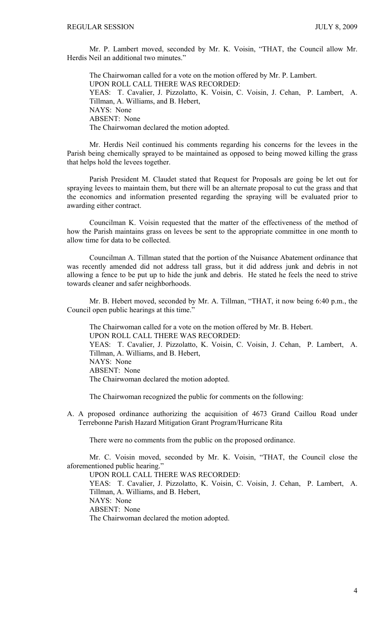Mr. P. Lambert moved, seconded by Mr. K. Voisin, "THAT, the Council allow Mr. Herdis Neil an additional two minutes."

 The Chairwoman called for a vote on the motion offered by Mr. P. Lambert. UPON ROLL CALL THERE WAS RECORDED: YEAS: T. Cavalier, J. Pizzolatto, K. Voisin, C. Voisin, J. Cehan, P. Lambert, A. Tillman, A. Williams, and B. Hebert, NAYS: None ABSENT: None The Chairwoman declared the motion adopted.

 Mr. Herdis Neil continued his comments regarding his concerns for the levees in the Parish being chemically sprayed to be maintained as opposed to being mowed killing the grass that helps hold the levees together.

 Parish President M. Claudet stated that Request for Proposals are going be let out for spraying levees to maintain them, but there will be an alternate proposal to cut the grass and that the economics and information presented regarding the spraying will be evaluated prior to awarding either contract.

 Councilman K. Voisin requested that the matter of the effectiveness of the method of how the Parish maintains grass on levees be sent to the appropriate committee in one month to allow time for data to be collected.

 Councilman A. Tillman stated that the portion of the Nuisance Abatement ordinance that was recently amended did not address tall grass, but it did address junk and debris in not allowing a fence to be put up to hide the junk and debris. He stated he feels the need to strive towards cleaner and safer neighborhoods.

 Mr. B. Hebert moved, seconded by Mr. A. Tillman, "THAT, it now being 6:40 p.m., the Council open public hearings at this time."

 The Chairwoman called for a vote on the motion offered by Mr. B. Hebert. UPON ROLL CALL THERE WAS RECORDED: YEAS: T. Cavalier, J. Pizzolatto, K. Voisin, C. Voisin, J. Cehan, P. Lambert, A. Tillman, A. Williams, and B. Hebert, NAYS: None ABSENT: None The Chairwoman declared the motion adopted.

The Chairwoman recognized the public for comments on the following:

A. A proposed ordinance authorizing the acquisition of 4673 Grand Caillou Road under Terrebonne Parish Hazard Mitigation Grant Program/Hurricane Rita

There were no comments from the public on the proposed ordinance.

 Mr. C. Voisin moved, seconded by Mr. K. Voisin, "THAT, the Council close the aforementioned public hearing."

UPON ROLL CALL THERE WAS RECORDED:

YEAS: T. Cavalier, J. Pizzolatto, K. Voisin, C. Voisin, J. Cehan, P. Lambert, A. Tillman, A. Williams, and B. Hebert,

NAYS: None

ABSENT: None

The Chairwoman declared the motion adopted.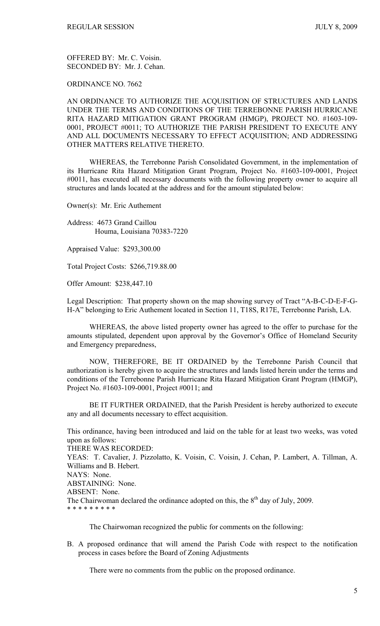OFFERED BY: Mr. C. Voisin. SECONDED BY: Mr. J. Cehan.

ORDINANCE NO. 7662

AN ORDINANCE TO AUTHORIZE THE ACQUISITION OF STRUCTURES AND LANDS UNDER THE TERMS AND CONDITIONS OF THE TERREBONNE PARISH HURRICANE RITA HAZARD MITIGATION GRANT PROGRAM (HMGP), PROJECT NO. #1603-109- 0001, PROJECT #0011; TO AUTHORIZE THE PARISH PRESIDENT TO EXECUTE ANY AND ALL DOCUMENTS NECESSARY TO EFFECT ACQUISITION; AND ADDRESSING OTHER MATTERS RELATIVE THERETO.

 WHEREAS, the Terrebonne Parish Consolidated Government, in the implementation of its Hurricane Rita Hazard Mitigation Grant Program, Project No. #1603-109-0001, Project #0011, has executed all necessary documents with the following property owner to acquire all structures and lands located at the address and for the amount stipulated below:

Owner(s): Mr. Eric Authement

Address: 4673 Grand Caillou Houma, Louisiana 70383-7220

Appraised Value: \$293,300.00

Total Project Costs: \$266,719.88.00

Offer Amount: \$238,447.10

Legal Description: That property shown on the map showing survey of Tract "A-B-C-D-E-F-G-H-A" belonging to Eric Authement located in Section 11, T18S, R17E, Terrebonne Parish, LA.

 WHEREAS, the above listed property owner has agreed to the offer to purchase for the amounts stipulated, dependent upon approval by the Governor's Office of Homeland Security and Emergency preparedness,

 NOW, THEREFORE, BE IT ORDAINED by the Terrebonne Parish Council that authorization is hereby given to acquire the structures and lands listed herein under the terms and conditions of the Terrebonne Parish Hurricane Rita Hazard Mitigation Grant Program (HMGP), Project No. #1603-109-0001, Project #0011; and

BE IT FURTHER ORDAINED, that the Parish President is hereby authorized to execute any and all documents necessary to effect acquisition.

This ordinance, having been introduced and laid on the table for at least two weeks, was voted upon as follows:

THERE WAS RECORDED:

YEAS: T. Cavalier, J. Pizzolatto, K. Voisin, C. Voisin, J. Cehan, P. Lambert, A. Tillman, A. Williams and B. Hebert.

NAYS: None.

ABSTAINING: None.

ABSENT: None.

The Chairwoman declared the ordinance adopted on this, the  $8<sup>th</sup>$  day of July, 2009. \* \* \* \* \* \* \* \* \*

The Chairwoman recognized the public for comments on the following:

B. A proposed ordinance that will amend the Parish Code with respect to the notification process in cases before the Board of Zoning Adjustments

There were no comments from the public on the proposed ordinance.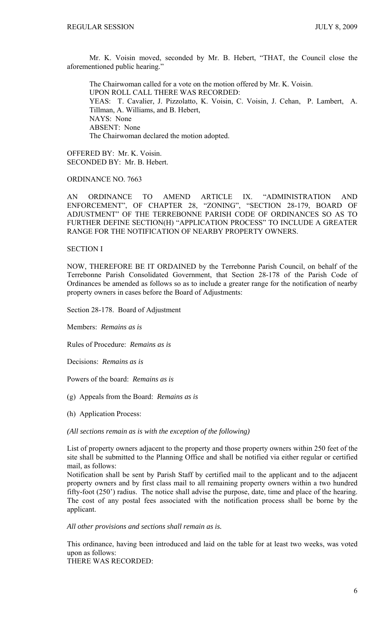Mr. K. Voisin moved, seconded by Mr. B. Hebert, "THAT, the Council close the aforementioned public hearing."

 The Chairwoman called for a vote on the motion offered by Mr. K. Voisin. UPON ROLL CALL THERE WAS RECORDED: YEAS: T. Cavalier, J. Pizzolatto, K. Voisin, C. Voisin, J. Cehan, P. Lambert, A. Tillman, A. Williams, and B. Hebert, NAYS: None ABSENT: None The Chairwoman declared the motion adopted.

OFFERED BY: Mr. K. Voisin. SECONDED BY: Mr. B. Hebert.

ORDINANCE NO. 7663

AN ORDINANCE TO AMEND ARTICLE IX. "ADMINISTRATION AND ENFORCEMENT", OF CHAPTER 28, "ZONING", "SECTION 28-179, BOARD OF ADJUSTMENT" OF THE TERREBONNE PARISH CODE OF ORDINANCES SO AS TO FURTHER DEFINE SECTION(H) "APPLICATION PROCESS" TO INCLUDE A GREATER RANGE FOR THE NOTIFICATION OF NEARBY PROPERTY OWNERS.

# SECTION I

NOW, THEREFORE BE IT ORDAINED by the Terrebonne Parish Council, on behalf of the Terrebonne Parish Consolidated Government, that Section 28-178 of the Parish Code of Ordinances be amended as follows so as to include a greater range for the notification of nearby property owners in cases before the Board of Adjustments:

Section 28-178. Board of Adjustment

Members: *Remains as is*

Rules of Procedure: *Remains as is*

Decisions: *Remains as is*

Powers of the board: *Remains as is*

- (g) Appeals from the Board: *Remains as is*
- (h) Application Process:

*(All sections remain as is with the exception of the following)*

List of property owners adjacent to the property and those property owners within 250 feet of the site shall be submitted to the Planning Office and shall be notified via either regular or certified mail, as follows:

Notification shall be sent by Parish Staff by certified mail to the applicant and to the adjacent property owners and by first class mail to all remaining property owners within a two hundred fifty-foot (250') radius. The notice shall advise the purpose, date, time and place of the hearing. The cost of any postal fees associated with the notification process shall be borne by the applicant.

*All other provisions and sections shall remain as is.*

This ordinance, having been introduced and laid on the table for at least two weeks, was voted upon as follows:

THERE WAS RECORDED: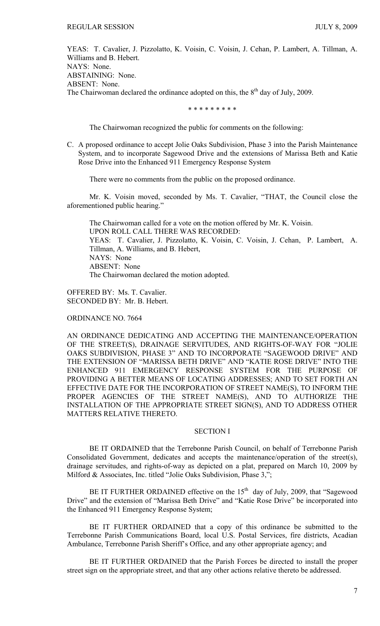YEAS: T. Cavalier, J. Pizzolatto, K. Voisin, C. Voisin, J. Cehan, P. Lambert, A. Tillman, A. Williams and B. Hebert. NAYS: None. ABSTAINING: None. ABSENT: None. The Chairwoman declared the ordinance adopted on this, the  $8<sup>th</sup>$  day of July, 2009.

\* \* \* \* \* \* \* \* \*

The Chairwoman recognized the public for comments on the following:

C. A proposed ordinance to accept Jolie Oaks Subdivision, Phase 3 into the Parish Maintenance System, and to incorporate Sagewood Drive and the extensions of Marissa Beth and Katie Rose Drive into the Enhanced 911 Emergency Response System

There were no comments from the public on the proposed ordinance.

 Mr. K. Voisin moved, seconded by Ms. T. Cavalier, "THAT, the Council close the aforementioned public hearing."

 The Chairwoman called for a vote on the motion offered by Mr. K. Voisin. UPON ROLL CALL THERE WAS RECORDED: YEAS: T. Cavalier, J. Pizzolatto, K. Voisin, C. Voisin, J. Cehan, P. Lambert, A. Tillman, A. Williams, and B. Hebert, NAYS: None ABSENT: None The Chairwoman declared the motion adopted.

OFFERED BY: Ms. T. Cavalier. SECONDED BY: Mr. B. Hebert.

ORDINANCE NO. 7664

AN ORDINANCE DEDICATING AND ACCEPTING THE MAINTENANCE/OPERATION OF THE STREET(S), DRAINAGE SERVITUDES, AND RIGHTS-OF-WAY FOR "JOLIE OAKS SUBDIVISION, PHASE 3" AND TO INCORPORATE "SAGEWOOD DRIVE" AND THE EXTENSION OF "MARISSA BETH DRIVE" AND "KATIE ROSE DRIVE" INTO THE ENHANCED 911 EMERGENCY RESPONSE SYSTEM FOR THE PURPOSE OF PROVIDING A BETTER MEANS OF LOCATING ADDRESSES; AND TO SET FORTH AN EFFECTIVE DATE FOR THE INCORPORATION OF STREET NAME(S), TO INFORM THE PROPER AGENCIES OF THE STREET NAME(S), AND TO AUTHORIZE THE INSTALLATION OF THE APPROPRIATE STREET SIGN(S), AND TO ADDRESS OTHER MATTERS RELATIVE THERETO.

### SECTION I

BE IT ORDAINED that the Terrebonne Parish Council, on behalf of Terrebonne Parish Consolidated Government, dedicates and accepts the maintenance/operation of the street(s), drainage servitudes, and rights-of-way as depicted on a plat, prepared on March 10, 2009 by Milford & Associates, Inc. titled "Jolie Oaks Subdivision, Phase 3,";

BE IT FURTHER ORDAINED effective on the  $15<sup>th</sup>$  day of July, 2009, that "Sagewood Drive" and the extension of "Marissa Beth Drive" and "Katie Rose Drive" be incorporated into the Enhanced 911 Emergency Response System;

BE IT FURTHER ORDAINED that a copy of this ordinance be submitted to the Terrebonne Parish Communications Board, local U.S. Postal Services, fire districts, Acadian Ambulance, Terrebonne Parish Sheriff's Office, and any other appropriate agency; and

BE IT FURTHER ORDAINED that the Parish Forces be directed to install the proper street sign on the appropriate street, and that any other actions relative thereto be addressed.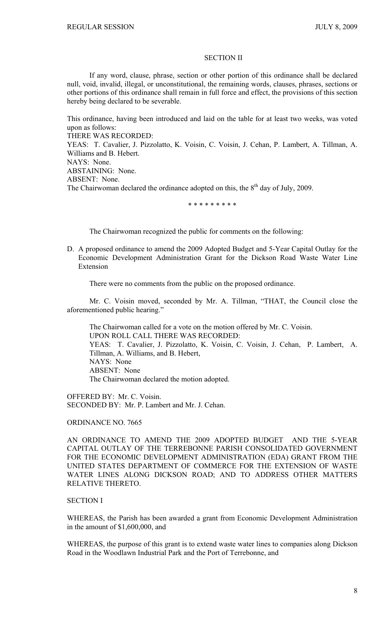#### SECTION II

If any word, clause, phrase, section or other portion of this ordinance shall be declared null, void, invalid, illegal, or unconstitutional, the remaining words, clauses, phrases, sections or other portions of this ordinance shall remain in full force and effect, the provisions of this section hereby being declared to be severable.

This ordinance, having been introduced and laid on the table for at least two weeks, was voted upon as follows:

THERE WAS RECORDED:

YEAS: T. Cavalier, J. Pizzolatto, K. Voisin, C. Voisin, J. Cehan, P. Lambert, A. Tillman, A. Williams and B. Hebert.

NAYS: None.

ABSTAINING: None.

ABSENT: None.

The Chairwoman declared the ordinance adopted on this, the  $8<sup>th</sup>$  day of July, 2009.

\* \* \* \* \* \* \* \* \*

The Chairwoman recognized the public for comments on the following:

D. A proposed ordinance to amend the 2009 Adopted Budget and 5-Year Capital Outlay for the Economic Development Administration Grant for the Dickson Road Waste Water Line Extension

There were no comments from the public on the proposed ordinance.

 Mr. C. Voisin moved, seconded by Mr. A. Tillman, "THAT, the Council close the aforementioned public hearing."

 The Chairwoman called for a vote on the motion offered by Mr. C. Voisin. UPON ROLL CALL THERE WAS RECORDED: YEAS: T. Cavalier, J. Pizzolatto, K. Voisin, C. Voisin, J. Cehan, P. Lambert, A. Tillman, A. Williams, and B. Hebert, NAYS: None ABSENT: None The Chairwoman declared the motion adopted.

OFFERED BY: Mr. C. Voisin. SECONDED BY: Mr. P. Lambert and Mr. J. Cehan.

ORDINANCE NO. 7665

AN ORDINANCE TO AMEND THE 2009 ADOPTED BUDGET AND THE 5-YEAR CAPITAL OUTLAY OF THE TERREBONNE PARISH CONSOLIDATED GOVERNMENT FOR THE ECONOMIC DEVELOPMENT ADMINISTRATION (EDA) GRANT FROM THE UNITED STATES DEPARTMENT OF COMMERCE FOR THE EXTENSION OF WASTE WATER LINES ALONG DICKSON ROAD; AND TO ADDRESS OTHER MATTERS RELATIVE THERETO.

### SECTION I

WHEREAS, the Parish has been awarded a grant from Economic Development Administration in the amount of \$1,600,000, and

WHEREAS, the purpose of this grant is to extend waste water lines to companies along Dickson Road in the Woodlawn Industrial Park and the Port of Terrebonne, and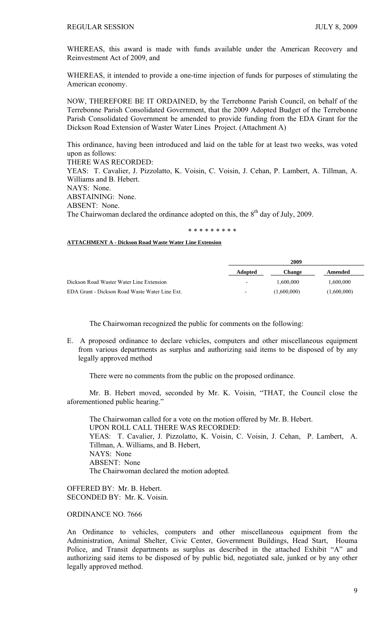WHEREAS, this award is made with funds available under the American Recovery and Reinvestment Act of 2009, and

WHEREAS, it intended to provide a one-time injection of funds for purposes of stimulating the American economy.

NOW, THEREFORE BE IT ORDAINED, by the Terrebonne Parish Council, on behalf of the Terrebonne Parish Consolidated Government, that the 2009 Adopted Budget of the Terrebonne Parish Consolidated Government be amended to provide funding from the EDA Grant for the Dickson Road Extension of Waster Water Lines Project. (Attachment A)

This ordinance, having been introduced and laid on the table for at least two weeks, was voted upon as follows: THERE WAS RECORDED: YEAS: T. Cavalier, J. Pizzolatto, K. Voisin, C. Voisin, J. Cehan, P. Lambert, A. Tillman, A. Williams and B. Hebert. NAYS: None. ABSTAINING: None. ABSENT: None. The Chairwoman declared the ordinance adopted on this, the 8<sup>th</sup> day of July, 2009.

\* \* \* \* \* \* \* \* \*

## **ATTACHMENT A - Dickson Road Waste Water Line Extension**

|                                                | 2009                     |             |             |
|------------------------------------------------|--------------------------|-------------|-------------|
|                                                | <b>Adopted</b>           | Change      | Amended     |
| Dickson Road Waster Water Line Extension       | $\overline{\phantom{a}}$ | 1.600.000   | 1.600.000   |
| EDA Grant - Dickson Road Waste Water Line Ext. | $\overline{\phantom{a}}$ | (1,600,000) | (1,600,000) |

The Chairwoman recognized the public for comments on the following:

E. A proposed ordinance to declare vehicles, computers and other miscellaneous equipment from various departments as surplus and authorizing said items to be disposed of by any legally approved method

There were no comments from the public on the proposed ordinance.

 Mr. B. Hebert moved, seconded by Mr. K. Voisin, "THAT, the Council close the aforementioned public hearing."

 The Chairwoman called for a vote on the motion offered by Mr. B. Hebert. UPON ROLL CALL THERE WAS RECORDED: YEAS: T. Cavalier, J. Pizzolatto, K. Voisin, C. Voisin, J. Cehan, P. Lambert, A. Tillman, A. Williams, and B. Hebert, NAYS: None ABSENT: None The Chairwoman declared the motion adopted.

OFFERED BY: Mr. B. Hebert. SECONDED BY: Mr. K. Voisin.

# ORDINANCE NO. 7666

An Ordinance to vehicles, computers and other miscellaneous equipment from the Administration, Animal Shelter, Civic Center, Government Buildings, Head Start, Houma Police, and Transit departments as surplus as described in the attached Exhibit "A" and authorizing said items to be disposed of by public bid, negotiated sale, junked or by any other legally approved method.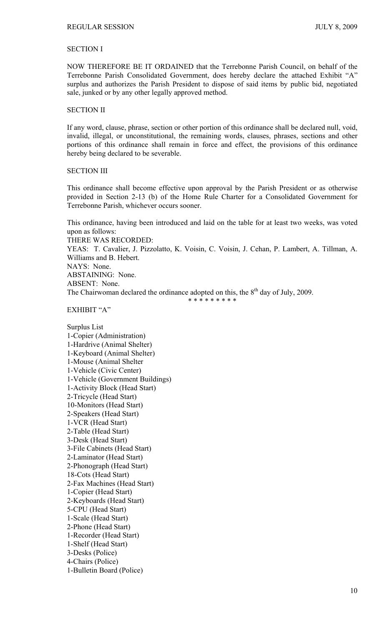# SECTION I

NOW THEREFORE BE IT ORDAINED that the Terrebonne Parish Council, on behalf of the Terrebonne Parish Consolidated Government, does hereby declare the attached Exhibit "A" surplus and authorizes the Parish President to dispose of said items by public bid, negotiated sale, junked or by any other legally approved method.

#### SECTION II

If any word, clause, phrase, section or other portion of this ordinance shall be declared null, void, invalid, illegal, or unconstitutional, the remaining words, clauses, phrases, sections and other portions of this ordinance shall remain in force and effect, the provisions of this ordinance hereby being declared to be severable.

#### SECTION III

This ordinance shall become effective upon approval by the Parish President or as otherwise provided in Section 2-13 (b) of the Home Rule Charter for a Consolidated Government for Terrebonne Parish, whichever occurs sooner.

This ordinance, having been introduced and laid on the table for at least two weeks, was voted upon as follows:

THERE WAS RECORDED:

YEAS: T. Cavalier, J. Pizzolatto, K. Voisin, C. Voisin, J. Cehan, P. Lambert, A. Tillman, A. Williams and B. Hebert. NAYS: None. ABSTAINING: None. ABSENT: None. The Chairwoman declared the ordinance adopted on this, the  $8<sup>th</sup>$  day of July, 2009.

\* \* \* \* \* \* \* \* \*

EXHIBIT "A"

Surplus List 1-Copier (Administration) 1-Hardrive (Animal Shelter) 1-Keyboard (Animal Shelter) 1-Mouse (Animal Shelter 1-Vehicle (Civic Center) 1-Vehicle (Government Buildings) 1-Activity Block (Head Start) 2-Tricycle (Head Start) 10-Monitors (Head Start) 2-Speakers (Head Start) 1-VCR (Head Start) 2-Table (Head Start) 3-Desk (Head Start) 3-File Cabinets (Head Start) 2-Laminator (Head Start) 2-Phonograph (Head Start) 18-Cots (Head Start) 2-Fax Machines (Head Start) 1-Copier (Head Start) 2-Keyboards (Head Start) 5-CPU (Head Start) 1-Scale (Head Start) 2-Phone (Head Start) 1-Recorder (Head Start) 1-Shelf (Head Start) 3-Desks (Police) 4-Chairs (Police) 1-Bulletin Board (Police)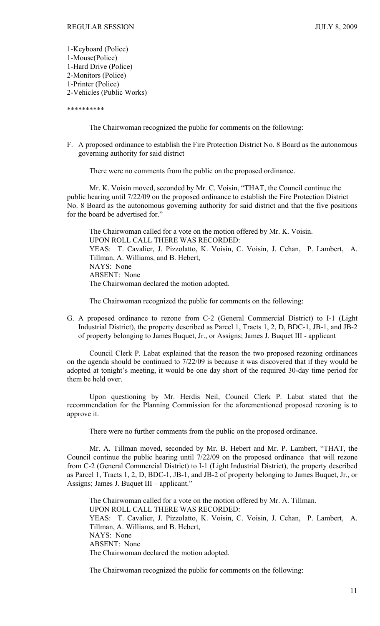1-Keyboard (Police) 1-Mouse(Police) 1-Hard Drive (Police) 2-Monitors (Police) 1-Printer (Police) 2-Vehicles (Public Works)

#### \*\*\*\*\*\*\*\*\*\*

The Chairwoman recognized the public for comments on the following:

F. A proposed ordinance to establish the Fire Protection District No. 8 Board as the autonomous governing authority for said district

There were no comments from the public on the proposed ordinance.

 Mr. K. Voisin moved, seconded by Mr. C. Voisin, "THAT, the Council continue the public hearing until 7/22/09 on the proposed ordinance to establish the Fire Protection District No. 8 Board as the autonomous governing authority for said district and that the five positions for the board be advertised for."

 The Chairwoman called for a vote on the motion offered by Mr. K. Voisin. UPON ROLL CALL THERE WAS RECORDED: YEAS: T. Cavalier, J. Pizzolatto, K. Voisin, C. Voisin, J. Cehan, P. Lambert, A. Tillman, A. Williams, and B. Hebert, NAYS: None ABSENT: None The Chairwoman declared the motion adopted.

The Chairwoman recognized the public for comments on the following:

G. A proposed ordinance to rezone from C-2 (General Commercial District) to I-1 (Light Industrial District), the property described as Parcel 1, Tracts 1, 2, D, BDC-1, JB-1, and JB-2 of property belonging to James Buquet, Jr., or Assigns; James J. Buquet III - applicant

 Council Clerk P. Labat explained that the reason the two proposed rezoning ordinances on the agenda should be continued to 7/22/09 is because it was discovered that if they would be adopted at tonight's meeting, it would be one day short of the required 30-day time period for them be held over.

 Upon questioning by Mr. Herdis Neil, Council Clerk P. Labat stated that the recommendation for the Planning Commission for the aforementioned proposed rezoning is to approve it.

There were no further comments from the public on the proposed ordinance.

 Mr. A. Tillman moved, seconded by Mr. B. Hebert and Mr. P. Lambert, "THAT, the Council continue the public hearing until 7/22/09 on the proposed ordinance that will rezone from C-2 (General Commercial District) to I-1 (Light Industrial District), the property described as Parcel 1, Tracts 1, 2, D, BDC-1, JB-1, and JB-2 of property belonging to James Buquet, Jr., or Assigns; James J. Buquet III – applicant."

 The Chairwoman called for a vote on the motion offered by Mr. A. Tillman. UPON ROLL CALL THERE WAS RECORDED: YEAS: T. Cavalier, J. Pizzolatto, K. Voisin, C. Voisin, J. Cehan, P. Lambert, A. Tillman, A. Williams, and B. Hebert, NAYS: None ABSENT: None The Chairwoman declared the motion adopted.

The Chairwoman recognized the public for comments on the following: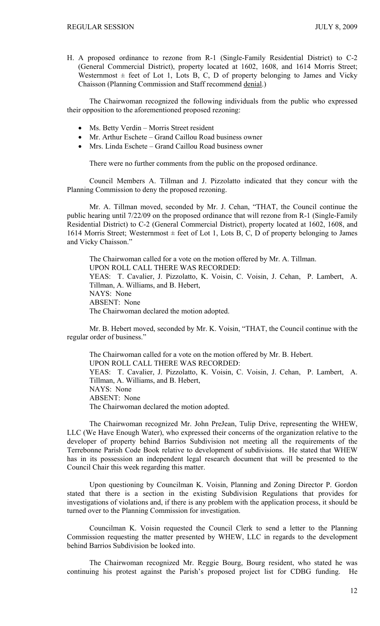H. A proposed ordinance to rezone from R-1 (Single-Family Residential District) to C-2 (General Commercial District), property located at 1602, 1608, and 1614 Morris Street; Westernmost  $\pm$  feet of Lot 1, Lots B, C, D of property belonging to James and Vicky Chaisson (Planning Commission and Staff recommend denial.)

 The Chairwoman recognized the following individuals from the public who expressed their opposition to the aforementioned proposed rezoning:

- Ms. Betty Verdin Morris Street resident
- Mr. Arthur Eschete Grand Caillou Road business owner
- Mrs. Linda Eschete Grand Caillou Road business owner

There were no further comments from the public on the proposed ordinance.

 Council Members A. Tillman and J. Pizzolatto indicated that they concur with the Planning Commission to deny the proposed rezoning.

 Mr. A. Tillman moved, seconded by Mr. J. Cehan, "THAT, the Council continue the public hearing until 7/22/09 on the proposed ordinance that will rezone from R-1 (Single-Family Residential District) to C-2 (General Commercial District), property located at 1602, 1608, and 1614 Morris Street; Westernmost  $\pm$  feet of Lot 1, Lots B, C, D of property belonging to James and Vicky Chaisson."

 The Chairwoman called for a vote on the motion offered by Mr. A. Tillman. UPON ROLL CALL THERE WAS RECORDED: YEAS: T. Cavalier, J. Pizzolatto, K. Voisin, C. Voisin, J. Cehan, P. Lambert, A. Tillman, A. Williams, and B. Hebert, NAYS: None ABSENT: None The Chairwoman declared the motion adopted.

Mr. B. Hebert moved, seconded by Mr. K. Voisin, "THAT, the Council continue with the regular order of business."

 The Chairwoman called for a vote on the motion offered by Mr. B. Hebert. UPON ROLL CALL THERE WAS RECORDED: YEAS: T. Cavalier, J. Pizzolatto, K. Voisin, C. Voisin, J. Cehan, P. Lambert, A. Tillman, A. Williams, and B. Hebert, NAYS: None ABSENT: None The Chairwoman declared the motion adopted.

 The Chairwoman recognized Mr. John PreJean, Tulip Drive, representing the WHEW, LLC (We Have Enough Water), who expressed their concerns of the organization relative to the developer of property behind Barrios Subdivision not meeting all the requirements of the Terrebonne Parish Code Book relative to development of subdivisions. He stated that WHEW has in its possession an independent legal research document that will be presented to the Council Chair this week regarding this matter.

 Upon questioning by Councilman K. Voisin, Planning and Zoning Director P. Gordon stated that there is a section in the existing Subdivision Regulations that provides for investigations of violations and, if there is any problem with the application process, it should be turned over to the Planning Commission for investigation.

 Councilman K. Voisin requested the Council Clerk to send a letter to the Planning Commission requesting the matter presented by WHEW, LLC in regards to the development behind Barrios Subdivision be looked into.

 The Chairwoman recognized Mr. Reggie Bourg, Bourg resident, who stated he was continuing his protest against the Parish's proposed project list for CDBG funding. He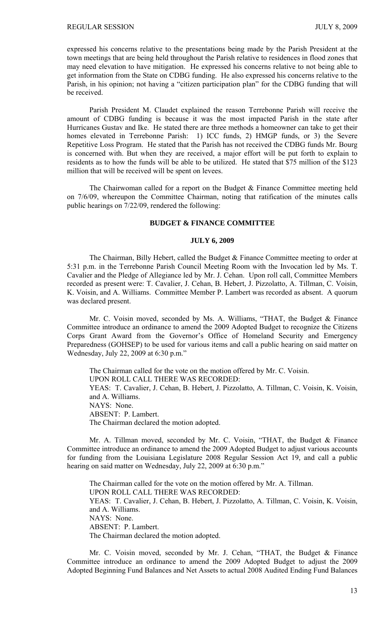expressed his concerns relative to the presentations being made by the Parish President at the town meetings that are being held throughout the Parish relative to residences in flood zones that may need elevation to have mitigation. He expressed his concerns relative to not being able to get information from the State on CDBG funding. He also expressed his concerns relative to the Parish, in his opinion; not having a "citizen participation plan" for the CDBG funding that will be received.

 Parish President M. Claudet explained the reason Terrebonne Parish will receive the amount of CDBG funding is because it was the most impacted Parish in the state after Hurricanes Gustav and Ike. He stated there are three methods a homeowner can take to get their homes elevated in Terrebonne Parish: 1) ICC funds, 2) HMGP funds, or 3) the Severe Repetitive Loss Program. He stated that the Parish has not received the CDBG funds Mr. Bourg is concerned with. But when they are received, a major effort will be put forth to explain to residents as to how the funds will be able to be utilized. He stated that \$75 million of the \$123 million that will be received will be spent on levees.

 The Chairwoman called for a report on the Budget & Finance Committee meeting held on 7/6/09, whereupon the Committee Chairman, noting that ratification of the minutes calls public hearings on 7/22/09, rendered the following:

## **BUDGET & FINANCE COMMITTEE**

### **JULY 6, 2009**

 The Chairman, Billy Hebert, called the Budget & Finance Committee meeting to order at 5:31 p.m. in the Terrebonne Parish Council Meeting Room with the Invocation led by Ms. T. Cavalier and the Pledge of Allegiance led by Mr. J. Cehan. Upon roll call, Committee Members recorded as present were: T. Cavalier, J. Cehan, B. Hebert, J. Pizzolatto, A. Tillman, C. Voisin, K. Voisin, and A. Williams. Committee Member P. Lambert was recorded as absent. A quorum was declared present.

 Mr. C. Voisin moved, seconded by Ms. A. Williams, "THAT, the Budget & Finance Committee introduce an ordinance to amend the 2009 Adopted Budget to recognize the Citizens Corps Grant Award from the Governor's Office of Homeland Security and Emergency Preparedness (GOHSEP) to be used for various items and call a public hearing on said matter on Wednesday, July 22, 2009 at 6:30 p.m."

The Chairman called for the vote on the motion offered by Mr. C. Voisin. UPON ROLL CALL THERE WAS RECORDED: YEAS: T. Cavalier, J. Cehan, B. Hebert, J. Pizzolatto, A. Tillman, C. Voisin, K. Voisin, and A. Williams. NAYS: None. ABSENT: P. Lambert. The Chairman declared the motion adopted.

 Mr. A. Tillman moved, seconded by Mr. C. Voisin, "THAT, the Budget & Finance Committee introduce an ordinance to amend the 2009 Adopted Budget to adjust various accounts for funding from the Louisiana Legislature 2008 Regular Session Act 19, and call a public hearing on said matter on Wednesday, July 22, 2009 at 6:30 p.m."

The Chairman called for the vote on the motion offered by Mr. A. Tillman. UPON ROLL CALL THERE WAS RECORDED: YEAS: T. Cavalier, J. Cehan, B. Hebert, J. Pizzolatto, A. Tillman, C. Voisin, K. Voisin, and A. Williams. NAYS: None. ABSENT: P. Lambert. The Chairman declared the motion adopted.

 Mr. C. Voisin moved, seconded by Mr. J. Cehan, "THAT, the Budget & Finance Committee introduce an ordinance to amend the 2009 Adopted Budget to adjust the 2009 Adopted Beginning Fund Balances and Net Assets to actual 2008 Audited Ending Fund Balances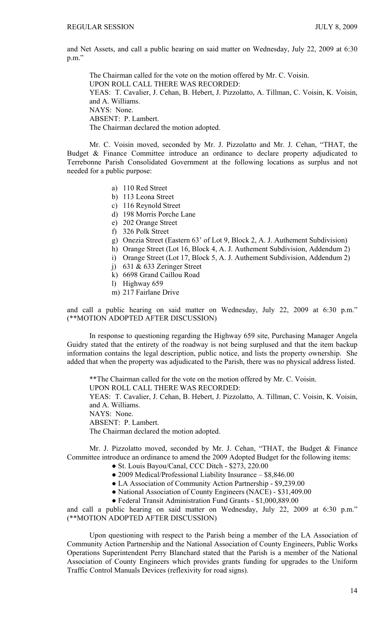and Net Assets, and call a public hearing on said matter on Wednesday, July 22, 2009 at 6:30 p.m."

The Chairman called for the vote on the motion offered by Mr. C. Voisin. UPON ROLL CALL THERE WAS RECORDED: YEAS: T. Cavalier, J. Cehan, B. Hebert, J. Pizzolatto, A. Tillman, C. Voisin, K. Voisin, and A. Williams. NAYS: None. ABSENT: P. Lambert. The Chairman declared the motion adopted.

 Mr. C. Voisin moved, seconded by Mr. J. Pizzolatto and Mr. J. Cehan, "THAT, the Budget & Finance Committee introduce an ordinance to declare property adjudicated to Terrebonne Parish Consolidated Government at the following locations as surplus and not needed for a public purpose:

- a) 110 Red Street
- b) 113 Leona Street
- c) 116 Reynold Street
- d) 198 Morris Porche Lane
- e) 202 Orange Street
- f) 326 Polk Street
- g) Onezia Street (Eastern 63' of Lot 9, Block 2, A. J. Authement Subdivision)
- h) Orange Street (Lot 16, Block 4, A. J. Authement Subdivision, Addendum 2)
- i) Orange Street (Lot 17, Block 5, A. J. Authement Subdivision, Addendum 2)
- j) 631 & 633 Zeringer Street
- k) 6698 Grand Caillou Road
- l) Highway 659
- m) 217 Fairlane Drive

and call a public hearing on said matter on Wednesday, July 22, 2009 at 6:30 p.m." (\*\*MOTION ADOPTED AFTER DISCUSSION)

 In response to questioning regarding the Highway 659 site, Purchasing Manager Angela Guidry stated that the entirety of the roadway is not being surplused and that the item backup information contains the legal description, public notice, and lists the property ownership. She added that when the property was adjudicated to the Parish, there was no physical address listed.

\*\*The Chairman called for the vote on the motion offered by Mr. C. Voisin. UPON ROLL CALL THERE WAS RECORDED: YEAS: T. Cavalier, J. Cehan, B. Hebert, J. Pizzolatto, A. Tillman, C. Voisin, K. Voisin, and A. Williams. NAYS: None. ABSENT: P. Lambert. The Chairman declared the motion adopted.

 Mr. J. Pizzolatto moved, seconded by Mr. J. Cehan, "THAT, the Budget & Finance Committee introduce an ordinance to amend the 2009 Adopted Budget for the following items:

- St. Louis Bayou/Canal, CCC Ditch \$273, 220.00
	- 2009 Medical/Professional Liability Insurance \$8,846.00
	- LA Association of Community Action Partnership \$9,239.00
- National Association of County Engineers (NACE) \$31,409.00
- Federal Transit Administration Fund Grants \$1,000,889.00

and call a public hearing on said matter on Wednesday, July 22, 2009 at 6:30 p.m." (\*\*MOTION ADOPTED AFTER DISCUSSION)

 Upon questioning with respect to the Parish being a member of the LA Association of Community Action Partnership and the National Association of County Engineers, Public Works Operations Superintendent Perry Blanchard stated that the Parish is a member of the National Association of County Engineers which provides grants funding for upgrades to the Uniform Traffic Control Manuals Devices (reflexivity for road signs).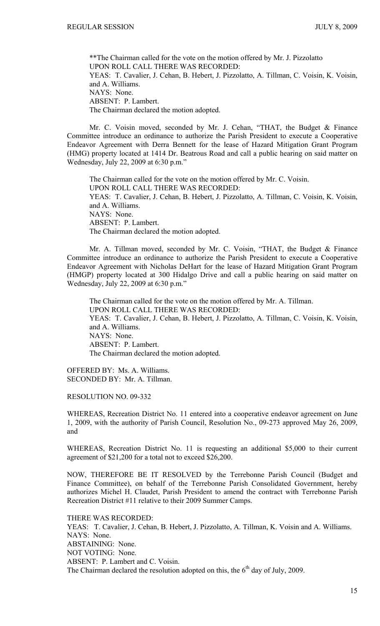\*\*The Chairman called for the vote on the motion offered by Mr. J. Pizzolatto UPON ROLL CALL THERE WAS RECORDED: YEAS: T. Cavalier, J. Cehan, B. Hebert, J. Pizzolatto, A. Tillman, C. Voisin, K. Voisin, and A. Williams. NAYS: None. ABSENT: P. Lambert. The Chairman declared the motion adopted.

 Mr. C. Voisin moved, seconded by Mr. J. Cehan, "THAT, the Budget & Finance Committee introduce an ordinance to authorize the Parish President to execute a Cooperative Endeavor Agreement with Derra Bennett for the lease of Hazard Mitigation Grant Program (HMG) property located at 1414 Dr. Beatrous Road and call a public hearing on said matter on Wednesday, July 22, 2009 at 6:30 p.m."

The Chairman called for the vote on the motion offered by Mr. C. Voisin. UPON ROLL CALL THERE WAS RECORDED: YEAS: T. Cavalier, J. Cehan, B. Hebert, J. Pizzolatto, A. Tillman, C. Voisin, K. Voisin, and A. Williams. NAYS: None. ABSENT: P. Lambert. The Chairman declared the motion adopted.

 Mr. A. Tillman moved, seconded by Mr. C. Voisin, "THAT, the Budget & Finance Committee introduce an ordinance to authorize the Parish President to execute a Cooperative Endeavor Agreement with Nicholas DeHart for the lease of Hazard Mitigation Grant Program (HMGP) property located at 300 Hidalgo Drive and call a public hearing on said matter on Wednesday, July 22, 2009 at 6:30 p.m."

The Chairman called for the vote on the motion offered by Mr. A. Tillman. UPON ROLL CALL THERE WAS RECORDED: YEAS: T. Cavalier, J. Cehan, B. Hebert, J. Pizzolatto, A. Tillman, C. Voisin, K. Voisin, and A. Williams. NAYS: None. ABSENT: P. Lambert. The Chairman declared the motion adopted.

OFFERED BY: Ms. A. Williams. SECONDED BY: Mr. A. Tillman.

RESOLUTION NO. 09-332

WHEREAS, Recreation District No. 11 entered into a cooperative endeavor agreement on June 1, 2009, with the authority of Parish Council, Resolution No., 09-273 approved May 26, 2009, and

WHEREAS, Recreation District No. 11 is requesting an additional \$5,000 to their current agreement of \$21,200 for a total not to exceed \$26,200.

NOW, THEREFORE BE IT RESOLVED by the Terrebonne Parish Council (Budget and Finance Committee), on behalf of the Terrebonne Parish Consolidated Government, hereby authorizes Michel H. Claudet, Parish President to amend the contract with Terrebonne Parish Recreation District #11 relative to their 2009 Summer Camps.

THERE WAS RECORDED: YEAS: T. Cavalier, J. Cehan, B. Hebert, J. Pizzolatto, A. Tillman, K. Voisin and A. Williams. NAYS: None. ABSTAINING: None. NOT VOTING: None. ABSENT: P. Lambert and C. Voisin. The Chairman declared the resolution adopted on this, the  $6<sup>th</sup>$  day of July, 2009.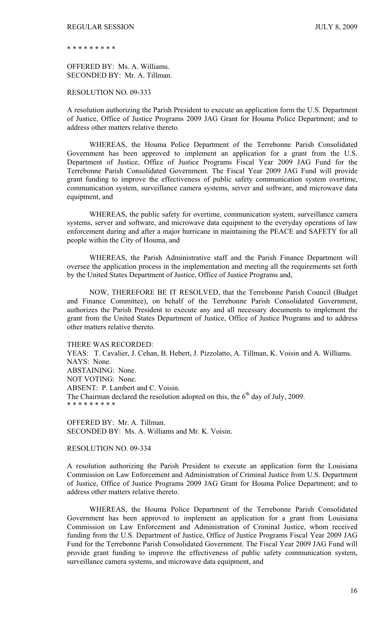\* \* \* \* \* \* \* \* \*

OFFERED BY: Ms. A. Williams. SECONDED BY: Mr. A. Tillman.

### RESOLUTION NO. 09-333

A resolution authorizing the Parish President to execute an application form the U.S. Department of Justice, Office of Justice Programs 2009 JAG Grant for Houma Police Department; and to address other matters relative thereto.

 WHEREAS, the Houma Police Department of the Terrebonne Parish Consolidated Government has been approved to implement an application for a grant from the U.S. Department of Justice, Office of Justice Programs Fiscal Year 2009 JAG Fund for the Terrebonne Parish Consolidated Government. The Fiscal Year 2009 JAG Fund will provide grant funding to improve the effectiveness of public safety communication system overtime, communication system, surveillance camera systems, server and software, and microwave data equipment, and

 WHEREAS, the public safety for overtime, communication system, surveillance camera systems, server and software, and microwave data equipment to the everyday operations of law enforcement during and after a major hurricane in maintaining the PEACE and SAFETY for all people within the City of Houma, and

 WHEREAS, the Parish Administrative staff and the Parish Finance Department will oversee the application process in the implementation and meeting all the requirements set forth by the United States Department of Justice, Office of Justice Programs and,

 NOW, THEREFORE BE IT RESOLVED, that the Terrebonne Parish Council (Budget and Finance Committee), on behalf of the Terrebonne Parish Consolidated Government, authorizes the Parish President to execute any and all necessary documents to implement the grant from the United States Department of Justice, Office of Justice Programs and to address other matters relative thereto.

THERE WAS RECORDED:

YEAS: T. Cavalier, J. Cehan, B. Hebert, J. Pizzolatto, A. Tillman, K. Voisin and A. Williams. NAYS: None. ABSTAINING: None. NOT VOTING: None. ABSENT: P. Lambert and C. Voisin. The Chairman declared the resolution adopted on this, the  $6<sup>th</sup>$  day of July, 2009. \* \* \* \* \* \* \* \* \*

OFFERED BY: Mr. A. Tillman. SECONDED BY: Ms. A. Williams and Mr. K. Voisin.

#### RESOLUTION NO. 09-334

A resolution authorizing the Parish President to execute an application form the Louisiana Commission on Law Enforcement and Administration of Criminal Justice from U.S. Department of Justice, Office of Justice Programs 2009 JAG Grant for Houma Police Department; and to address other matters relative thereto.

 WHEREAS, the Houma Police Department of the Terrebonne Parish Consolidated Government has been approved to implement an application for a grant from Louisiana Commission on Law Enforcement and Administration of Criminal Justice, whom received funding from the U.S. Department of Justice, Office of Justice Programs Fiscal Year 2009 JAG Fund for the Terrebonne Parish Consolidated Government. The Fiscal Year 2009 JAG Fund will provide grant funding to improve the effectiveness of public safety communication system, surveillance camera systems, and microwave data equipment, and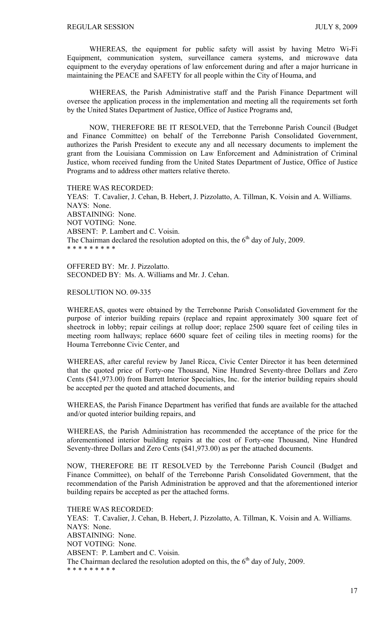WHEREAS, the equipment for public safety will assist by having Metro Wi-Fi Equipment, communication system, surveillance camera systems, and microwave data equipment to the everyday operations of law enforcement during and after a major hurricane in maintaining the PEACE and SAFETY for all people within the City of Houma, and

 WHEREAS, the Parish Administrative staff and the Parish Finance Department will oversee the application process in the implementation and meeting all the requirements set forth by the United States Department of Justice, Office of Justice Programs and,

 NOW, THEREFORE BE IT RESOLVED, that the Terrebonne Parish Council (Budget and Finance Committee) on behalf of the Terrebonne Parish Consolidated Government, authorizes the Parish President to execute any and all necessary documents to implement the grant from the Louisiana Commission on Law Enforcement and Administration of Criminal Justice, whom received funding from the United States Department of Justice, Office of Justice Programs and to address other matters relative thereto.

THERE WAS RECORDED:

YEAS: T. Cavalier, J. Cehan, B. Hebert, J. Pizzolatto, A. Tillman, K. Voisin and A. Williams. NAYS: None. ABSTAINING: None. NOT VOTING: None. ABSENT: P. Lambert and C. Voisin. The Chairman declared the resolution adopted on this, the  $6<sup>th</sup>$  day of July, 2009. \* \* \* \* \* \* \* \* \*

OFFERED BY: Mr. J. Pizzolatto. SECONDED BY: Ms. A. Williams and Mr. J. Cehan.

#### RESOLUTION NO. 09-335

WHEREAS, quotes were obtained by the Terrebonne Parish Consolidated Government for the purpose of interior building repairs (replace and repaint approximately 300 square feet of sheetrock in lobby; repair ceilings at rollup door; replace 2500 square feet of ceiling tiles in meeting room hallways; replace 6600 square feet of ceiling tiles in meeting rooms) for the Houma Terrebonne Civic Center, and

WHEREAS, after careful review by Janel Ricca, Civic Center Director it has been determined that the quoted price of Forty-one Thousand, Nine Hundred Seventy-three Dollars and Zero Cents (\$41,973.00) from Barrett Interior Specialties, Inc. for the interior building repairs should be accepted per the quoted and attached documents, and

WHEREAS, the Parish Finance Department has verified that funds are available for the attached and/or quoted interior building repairs, and

WHEREAS, the Parish Administration has recommended the acceptance of the price for the aforementioned interior building repairs at the cost of Forty-one Thousand, Nine Hundred Seventy-three Dollars and Zero Cents (\$41,973.00) as per the attached documents.

NOW, THEREFORE BE IT RESOLVED by the Terrebonne Parish Council (Budget and Finance Committee), on behalf of the Terrebonne Parish Consolidated Government, that the recommendation of the Parish Administration be approved and that the aforementioned interior building repairs be accepted as per the attached forms.

THERE WAS RECORDED: YEAS: T. Cavalier, J. Cehan, B. Hebert, J. Pizzolatto, A. Tillman, K. Voisin and A. Williams. NAYS: None. ABSTAINING: None. NOT VOTING: None. ABSENT: P. Lambert and C. Voisin. The Chairman declared the resolution adopted on this, the  $6<sup>th</sup>$  day of July, 2009. \* \* \* \* \* \* \* \* \*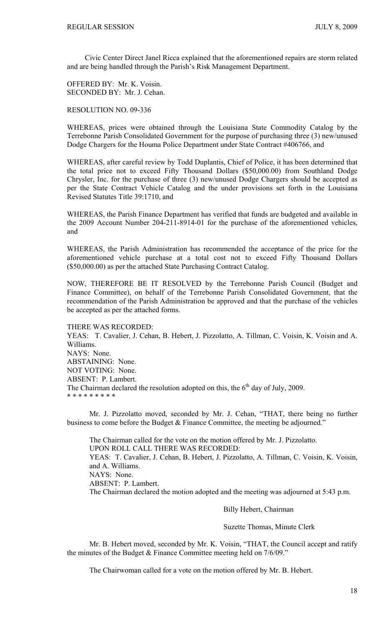Civic Center Direct Janel Ricca explained that the aforementioned repairs are storm related and are being handled through the Parish's Risk Management Department.

OFFERED BY: Mr. K. Voisin. SECONDED BY: Mr. J. Cehan.

RESOLUTION NO. 09-336

WHEREAS, prices were obtained through the Louisiana State Commodity Catalog by the Terrebonne Parish Consolidated Government for the purpose of purchasing three (3) new/unused Dodge Chargers for the Houma Police Department under State Contract #406766, and

WHEREAS, after careful review by Todd Duplantis, Chief of Police, it has been determined that the total price not to exceed Fifty Thousand Dollars (\$50,000.00) from Southland Dodge Chrysler, Inc. for the purchase of three (3) new/unused Dodge Chargers should be accepted as per the State Contract Vehicle Catalog and the under provisions set forth in the Louisiana Revised Statutes Title 39:1710, and

WHEREAS, the Parish Finance Department has verified that funds are budgeted and available in the 2009 Account Number 204-211-8914-01 for the purchase of the aforementioned vehicles, and

WHEREAS, the Parish Administration has recommended the acceptance of the price for the aforementioned vehicle purchase at a total cost not to exceed Fifty Thousand Dollars (\$50,000.00) as per the attached State Purchasing Contract Catalog.

NOW, THEREFORE BE IT RESOLVED by the Terrebonne Parish Council (Budget and Finance Committee), on behalf of the Terrebonne Parish Consolidated Government, that the recommendation of the Parish Administration be approved and that the purchase of the vehicles be accepted as per the attached forms.

THERE WAS RECORDED:

YEAS: T. Cavalier, J. Cehan, B. Hebert, J. Pizzolatto, A. Tillman, C. Voisin, K. Voisin and A. Williams. NAYS: None. ABSTAINING: None. NOT VOTING: None. ABSENT: P. Lambert. The Chairman declared the resolution adopted on this, the  $6<sup>th</sup>$  day of July, 2009. \* \* \* \* \* \* \* \* \*

 Mr. J. Pizzolatto moved, seconded by Mr. J. Cehan, "THAT, there being no further business to come before the Budget & Finance Committee, the meeting be adjourned."

 The Chairman called for the vote on the motion offered by Mr. J. Pizzolatto. UPON ROLL CALL THERE WAS RECORDED: YEAS: T. Cavalier, J. Cehan, B. Hebert, J. Pizzolatto, A. Tillman, C. Voisin, K. Voisin, and A. Williams. NAYS: None. ABSENT: P. Lambert. The Chairman declared the motion adopted and the meeting was adjourned at 5:43 p.m.

Billy Hebert, Chairman

Suzette Thomas, Minute Clerk

 Mr. B. Hebert moved, seconded by Mr. K. Voisin, "THAT, the Council accept and ratify the minutes of the Budget & Finance Committee meeting held on 7/6/09."

The Chairwoman called for a vote on the motion offered by Mr. B. Hebert.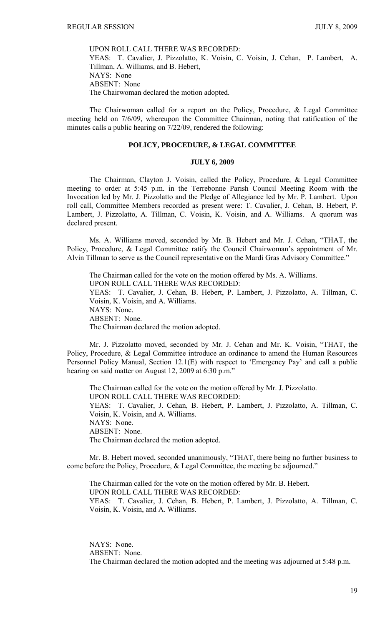UPON ROLL CALL THERE WAS RECORDED: YEAS: T. Cavalier, J. Pizzolatto, K. Voisin, C. Voisin, J. Cehan, P. Lambert, A. Tillman, A. Williams, and B. Hebert, NAYS: None ABSENT: None The Chairwoman declared the motion adopted.

 The Chairwoman called for a report on the Policy, Procedure, & Legal Committee meeting held on 7/6/09, whereupon the Committee Chairman, noting that ratification of the minutes calls a public hearing on 7/22/09, rendered the following:

### **POLICY, PROCEDURE, & LEGAL COMMITTEE**

#### **JULY 6, 2009**

 The Chairman, Clayton J. Voisin, called the Policy, Procedure, & Legal Committee meeting to order at 5:45 p.m. in the Terrebonne Parish Council Meeting Room with the Invocation led by Mr. J. Pizzolatto and the Pledge of Allegiance led by Mr. P. Lambert. Upon roll call, Committee Members recorded as present were: T. Cavalier, J. Cehan, B. Hebert, P. Lambert, J. Pizzolatto, A. Tillman, C. Voisin, K. Voisin, and A. Williams. A quorum was declared present.

 Ms. A. Williams moved, seconded by Mr. B. Hebert and Mr. J. Cehan, "THAT, the Policy, Procedure, & Legal Committee ratify the Council Chairwoman's appointment of Mr. Alvin Tillman to serve as the Council representative on the Mardi Gras Advisory Committee."

 The Chairman called for the vote on the motion offered by Ms. A. Williams. UPON ROLL CALL THERE WAS RECORDED: YEAS: T. Cavalier, J. Cehan, B. Hebert, P. Lambert, J. Pizzolatto, A. Tillman, C. Voisin, K. Voisin, and A. Williams. NAYS: None. ABSENT: None. The Chairman declared the motion adopted.

 Mr. J. Pizzolatto moved, seconded by Mr. J. Cehan and Mr. K. Voisin, "THAT, the Policy, Procedure, & Legal Committee introduce an ordinance to amend the Human Resources Personnel Policy Manual, Section 12.1(E) with respect to 'Emergency Pay' and call a public hearing on said matter on August 12, 2009 at 6:30 p.m."

 The Chairman called for the vote on the motion offered by Mr. J. Pizzolatto. UPON ROLL CALL THERE WAS RECORDED: YEAS: T. Cavalier, J. Cehan, B. Hebert, P. Lambert, J. Pizzolatto, A. Tillman, C. Voisin, K. Voisin, and A. Williams. NAYS: None. ABSENT: None. The Chairman declared the motion adopted.

 Mr. B. Hebert moved, seconded unanimously, "THAT, there being no further business to come before the Policy, Procedure, & Legal Committee, the meeting be adjourned."

 The Chairman called for the vote on the motion offered by Mr. B. Hebert. UPON ROLL CALL THERE WAS RECORDED: YEAS: T. Cavalier, J. Cehan, B. Hebert, P. Lambert, J. Pizzolatto, A. Tillman, C. Voisin, K. Voisin, and A. Williams.

NAYS: None. ABSENT: None. The Chairman declared the motion adopted and the meeting was adjourned at 5:48 p.m.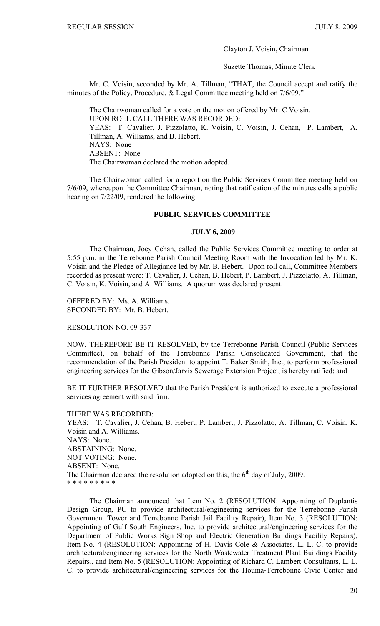Clayton J. Voisin, Chairman

Suzette Thomas, Minute Clerk

Mr. C. Voisin, seconded by Mr. A. Tillman, "THAT, the Council accept and ratify the minutes of the Policy, Procedure, & Legal Committee meeting held on 7/6/09."

 The Chairwoman called for a vote on the motion offered by Mr. C Voisin. UPON ROLL CALL THERE WAS RECORDED: YEAS: T. Cavalier, J. Pizzolatto, K. Voisin, C. Voisin, J. Cehan, P. Lambert, A. Tillman, A. Williams, and B. Hebert, NAYS: None ABSENT: None The Chairwoman declared the motion adopted.

 The Chairwoman called for a report on the Public Services Committee meeting held on 7/6/09, whereupon the Committee Chairman, noting that ratification of the minutes calls a public hearing on 7/22/09, rendered the following:

#### **PUBLIC SERVICES COMMITTEE**

#### **JULY 6, 2009**

 The Chairman, Joey Cehan, called the Public Services Committee meeting to order at 5:55 p.m. in the Terrebonne Parish Council Meeting Room with the Invocation led by Mr. K. Voisin and the Pledge of Allegiance led by Mr. B. Hebert. Upon roll call, Committee Members recorded as present were: T. Cavalier, J. Cehan, B. Hebert, P. Lambert, J. Pizzolatto, A. Tillman, C. Voisin, K. Voisin, and A. Williams. A quorum was declared present.

OFFERED BY: Ms. A. Williams. SECONDED BY: Mr. B. Hebert.

RESOLUTION NO. 09-337

NOW, THEREFORE BE IT RESOLVED, by the Terrebonne Parish Council (Public Services Committee), on behalf of the Terrebonne Parish Consolidated Government, that the recommendation of the Parish President to appoint T. Baker Smith, Inc., to perform professional engineering services for the Gibson/Jarvis Sewerage Extension Project, is hereby ratified; and

BE IT FURTHER RESOLVED that the Parish President is authorized to execute a professional services agreement with said firm.

THERE WAS RECORDED: YEAS: T. Cavalier, J. Cehan, B. Hebert, P. Lambert, J. Pizzolatto, A. Tillman, C. Voisin, K. Voisin and A. Williams. NAYS: None. ABSTAINING: None. NOT VOTING: None. ABSENT: None. The Chairman declared the resolution adopted on this, the  $6<sup>th</sup>$  day of July, 2009. \* \* \* \* \* \* \* \* \*

 The Chairman announced that Item No. 2 (RESOLUTION: Appointing of Duplantis Design Group, PC to provide architectural/engineering services for the Terrebonne Parish Government Tower and Terrebonne Parish Jail Facility Repair), Item No. 3 (RESOLUTION: Appointing of Gulf South Engineers, Inc. to provide architectural/engineering services for the Department of Public Works Sign Shop and Electric Generation Buildings Facility Repairs), Item No. 4 (RESOLUTION: Appointing of H. Davis Cole & Associates, L. L. C. to provide architectural/engineering services for the North Wastewater Treatment Plant Buildings Facility Repairs., and Item No. 5 (RESOLUTION: Appointing of Richard C. Lambert Consultants, L. L. C. to provide architectural/engineering services for the Houma-Terrebonne Civic Center and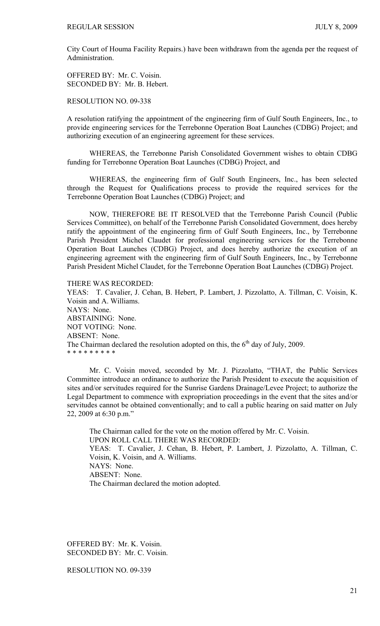City Court of Houma Facility Repairs.) have been withdrawn from the agenda per the request of Administration.

OFFERED BY: Mr. C. Voisin. SECONDED BY: Mr. B. Hebert.

RESOLUTION NO. 09-338

A resolution ratifying the appointment of the engineering firm of Gulf South Engineers, Inc., to provide engineering services for the Terrebonne Operation Boat Launches (CDBG) Project; and authorizing execution of an engineering agreement for these services.

 WHEREAS, the Terrebonne Parish Consolidated Government wishes to obtain CDBG funding for Terrebonne Operation Boat Launches (CDBG) Project, and

 WHEREAS, the engineering firm of Gulf South Engineers, Inc., has been selected through the Request for Qualifications process to provide the required services for the Terrebonne Operation Boat Launches (CDBG) Project; and

 NOW, THEREFORE BE IT RESOLVED that the Terrebonne Parish Council (Public Services Committee), on behalf of the Terrebonne Parish Consolidated Government, does hereby ratify the appointment of the engineering firm of Gulf South Engineers, Inc., by Terrebonne Parish President Michel Claudet for professional engineering services for the Terrebonne Operation Boat Launches (CDBG) Project, and does hereby authorize the execution of an engineering agreement with the engineering firm of Gulf South Engineers, Inc., by Terrebonne Parish President Michel Claudet, for the Terrebonne Operation Boat Launches (CDBG) Project.

THERE WAS RECORDED:

YEAS: T. Cavalier, J. Cehan, B. Hebert, P. Lambert, J. Pizzolatto, A. Tillman, C. Voisin, K. Voisin and A. Williams. NAYS: None. ABSTAINING: None. NOT VOTING: None. ABSENT: None. The Chairman declared the resolution adopted on this, the  $6<sup>th</sup>$  day of July, 2009. \* \* \* \* \* \* \* \* \*

Mr. C. Voisin moved, seconded by Mr. J. Pizzolatto, "THAT, the Public Services Committee introduce an ordinance to authorize the Parish President to execute the acquisition of sites and/or servitudes required for the Sunrise Gardens Drainage/Levee Project; to authorize the Legal Department to commence with expropriation proceedings in the event that the sites and/or servitudes cannot be obtained conventionally; and to call a public hearing on said matter on July 22, 2009 at 6:30 p.m."

 The Chairman called for the vote on the motion offered by Mr. C. Voisin. UPON ROLL CALL THERE WAS RECORDED: YEAS: T. Cavalier, J. Cehan, B. Hebert, P. Lambert, J. Pizzolatto, A. Tillman, C. Voisin, K. Voisin, and A. Williams. NAYS: None. ABSENT: None. The Chairman declared the motion adopted.

OFFERED BY: Mr. K. Voisin. SECONDED BY: Mr. C. Voisin.

RESOLUTION NO. 09-339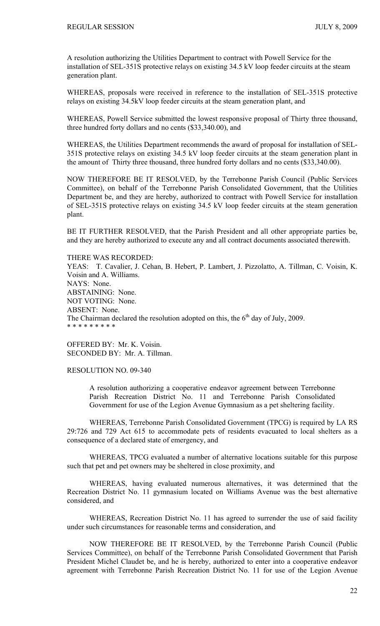A resolution authorizing the Utilities Department to contract with Powell Service for the installation of SEL-351S protective relays on existing 34.5 kV loop feeder circuits at the steam generation plant.

WHEREAS, proposals were received in reference to the installation of SEL-351S protective relays on existing 34.5kV loop feeder circuits at the steam generation plant, and

WHEREAS, Powell Service submitted the lowest responsive proposal of Thirty three thousand, three hundred forty dollars and no cents (\$33,340.00), and

WHEREAS, the Utilities Department recommends the award of proposal for installation of SEL-351S protective relays on existing 34.5 kV loop feeder circuits at the steam generation plant in the amount of Thirty three thousand, three hundred forty dollars and no cents (\$33,340.00).

NOW THEREFORE BE IT RESOLVED, by the Terrebonne Parish Council (Public Services Committee), on behalf of the Terrebonne Parish Consolidated Government, that the Utilities Department be, and they are hereby, authorized to contract with Powell Service for installation of SEL-351S protective relays on existing 34.5 kV loop feeder circuits at the steam generation plant.

BE IT FURTHER RESOLVED, that the Parish President and all other appropriate parties be, and they are hereby authorized to execute any and all contract documents associated therewith.

THERE WAS RECORDED: YEAS: T. Cavalier, J. Cehan, B. Hebert, P. Lambert, J. Pizzolatto, A. Tillman, C. Voisin, K. Voisin and A. Williams. NAYS: None. ABSTAINING: None. NOT VOTING: None. ABSENT: None. The Chairman declared the resolution adopted on this, the  $6<sup>th</sup>$  day of July, 2009. \* \* \* \* \* \* \* \* \*

OFFERED BY: Mr. K. Voisin. SECONDED BY: Mr. A. Tillman.

# RESOLUTION NO. 09-340

A resolution authorizing a cooperative endeavor agreement between Terrebonne Parish Recreation District No. 11 and Terrebonne Parish Consolidated Government for use of the Legion Avenue Gymnasium as a pet sheltering facility.

 WHEREAS, Terrebonne Parish Consolidated Government (TPCG) is required by LA RS 29:726 and 729 Act 615 to accommodate pets of residents evacuated to local shelters as a consequence of a declared state of emergency, and

 WHEREAS, TPCG evaluated a number of alternative locations suitable for this purpose such that pet and pet owners may be sheltered in close proximity, and

 WHEREAS, having evaluated numerous alternatives, it was determined that the Recreation District No. 11 gymnasium located on Williams Avenue was the best alternative considered, and

WHEREAS, Recreation District No. 11 has agreed to surrender the use of said facility under such circumstances for reasonable terms and consideration, and

NOW THEREFORE BE IT RESOLVED, by the Terrebonne Parish Council (Public Services Committee), on behalf of the Terrebonne Parish Consolidated Government that Parish President Michel Claudet be, and he is hereby, authorized to enter into a cooperative endeavor agreement with Terrebonne Parish Recreation District No. 11 for use of the Legion Avenue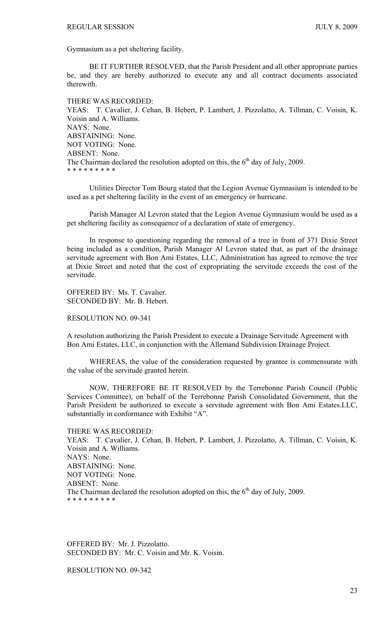Gymnasium as a pet sheltering facility.

BE IT FURTHER RESOLVED, that the Parish President and all other appropriate parties be, and they are hereby authorized to execute any and all contract documents associated therewith.

THERE WAS RECORDED: YEAS: T. Cavalier, J. Cehan, B. Hebert, P. Lambert, J. Pizzolatto, A. Tillman, C. Voisin, K. Voisin and A. Williams. NAYS: None. ABSTAINING: None. NOT VOTING: None. ABSENT: None. The Chairman declared the resolution adopted on this, the  $6<sup>th</sup>$  day of July, 2009. \* \* \* \* \* \* \* \* \*

Utilities Director Tom Bourg stated that the Legion Avenue Gymnasium is intended to be used as a pet sheltering facility in the event of an emergency or hurricane.

Parish Manager Al Levron stated that the Legion Avenue Gymnasium would be used as a pet sheltering facility as consequence of a declaration of state of emergency.

In response to questioning regarding the removal of a tree in front of 371 Dixie Street being included as a condition, Parish Manager Al Levron stated that, as part of the drainage servitude agreement with Bon Ami Estates, LLC, Administration has agreed to remove the tree at Dixie Street and noted that the cost of expropriating the servitude exceeds the cost of the servitude.

OFFERED BY: Ms. T. Cavalier. SECONDED BY: Mr. B. Hebert.

RESOLUTION NO. 09-341

A resolution authorizing the Parish President to execute a Drainage Servitude Agreement with Bon Ami Estates, LLC, in conjunction with the Allemand Subdivision Drainage Project.

 WHEREAS, the value of the consideration requested by grantee is commensurate with the value of the servitude granted herein.

 NOW, THEREFORE BE IT RESOLVED by the Terrebonne Parish Council (Public Services Committee), on behalf of the Terrebonne Parish Consolidated Government, that the Parish President be authorized to execute a servitude agreement with Bon Ami Estates.LLC, substantially in conformance with Exhibit "A".

THERE WAS RECORDED: YEAS: T. Cavalier, J. Cehan, B. Hebert, P. Lambert, J. Pizzolatto, A. Tillman, C. Voisin, K. Voisin and A. Williams. NAYS: None. ABSTAINING: None. NOT VOTING: None. ABSENT: None. The Chairman declared the resolution adopted on this, the  $6<sup>th</sup>$  day of July, 2009. \* \* \* \* \* \* \* \* \*

OFFERED BY: Mr. J. Pizzolatto. SECONDED BY: Mr. C. Voisin and Mr. K. Voisin.

RESOLUTION NO. 09-342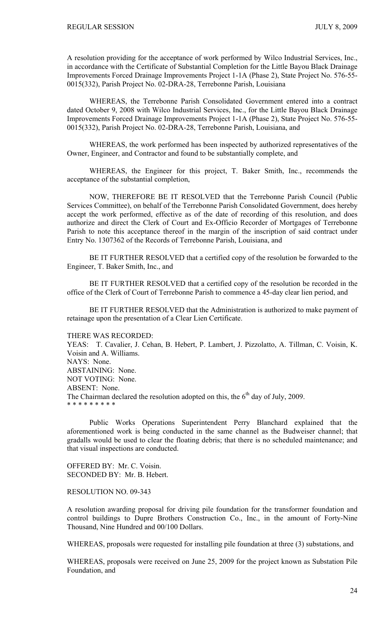A resolution providing for the acceptance of work performed by Wilco Industrial Services, Inc., in accordance with the Certificate of Substantial Completion for the Little Bayou Black Drainage Improvements Forced Drainage Improvements Project 1-1A (Phase 2), State Project No. 576-55- 0015(332), Parish Project No. 02-DRA-28, Terrebonne Parish, Louisiana

 WHEREAS, the Terrebonne Parish Consolidated Government entered into a contract dated October 9, 2008 with Wilco Industrial Services, Inc., for the Little Bayou Black Drainage Improvements Forced Drainage Improvements Project 1-1A (Phase 2), State Project No. 576-55- 0015(332), Parish Project No. 02-DRA-28, Terrebonne Parish, Louisiana, and

 WHEREAS, the work performed has been inspected by authorized representatives of the Owner, Engineer, and Contractor and found to be substantially complete, and

 WHEREAS, the Engineer for this project, T. Baker Smith, Inc., recommends the acceptance of the substantial completion,

 NOW, THEREFORE BE IT RESOLVED that the Terrebonne Parish Council (Public Services Committee), on behalf of the Terrebonne Parish Consolidated Government, does hereby accept the work performed, effective as of the date of recording of this resolution, and does authorize and direct the Clerk of Court and Ex-Officio Recorder of Mortgages of Terrebonne Parish to note this acceptance thereof in the margin of the inscription of said contract under Entry No. 1307362 of the Records of Terrebonne Parish, Louisiana, and

 BE IT FURTHER RESOLVED that a certified copy of the resolution be forwarded to the Engineer, T. Baker Smith, Inc., and

 BE IT FURTHER RESOLVED that a certified copy of the resolution be recorded in the office of the Clerk of Court of Terrebonne Parish to commence a 45-day clear lien period, and

 BE IT FURTHER RESOLVED that the Administration is authorized to make payment of retainage upon the presentation of a Clear Lien Certificate.

#### THERE WAS RECORDED:

YEAS: T. Cavalier, J. Cehan, B. Hebert, P. Lambert, J. Pizzolatto, A. Tillman, C. Voisin, K. Voisin and A. Williams. NAYS: None. ABSTAINING: None. NOT VOTING: None. ABSENT: None. The Chairman declared the resolution adopted on this, the  $6<sup>th</sup>$  day of July, 2009. \* \* \* \* \* \* \* \* \*

Public Works Operations Superintendent Perry Blanchard explained that the aforementioned work is being conducted in the same channel as the Budweiser channel; that gradalls would be used to clear the floating debris; that there is no scheduled maintenance; and that visual inspections are conducted.

OFFERED BY: Mr. C. Voisin. SECONDED BY: Mr. B. Hebert.

#### RESOLUTION NO. 09-343

A resolution awarding proposal for driving pile foundation for the transformer foundation and control buildings to Dupre Brothers Construction Co., Inc., in the amount of Forty-Nine Thousand, Nine Hundred and 00/100 Dollars.

WHEREAS, proposals were requested for installing pile foundation at three (3) substations, and

WHEREAS, proposals were received on June 25, 2009 for the project known as Substation Pile Foundation, and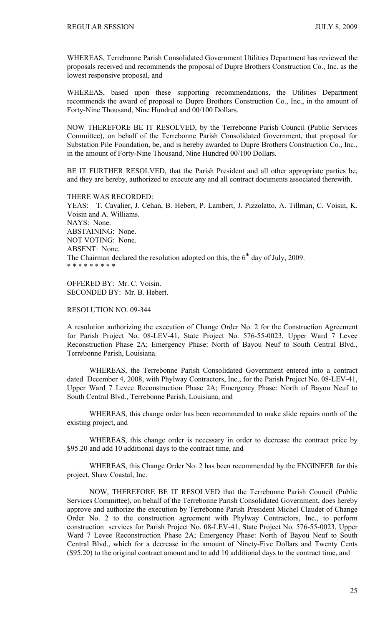WHEREAS, Terrebonne Parish Consolidated Government Utilities Department has reviewed the proposals received and recommends the proposal of Dupre Brothers Construction Co., Inc. as the lowest responsive proposal, and

WHEREAS, based upon these supporting recommendations, the Utilities Department recommends the award of proposal to Dupre Brothers Construction Co., Inc., in the amount of Forty-Nine Thousand, Nine Hundred and 00/100 Dollars.

NOW THEREFORE BE IT RESOLVED, by the Terrebonne Parish Council (Public Services Committee), on behalf of the Terrebonne Parish Consolidated Government, that proposal for Substation Pile Foundation, be, and is hereby awarded to Dupre Brothers Construction Co., Inc., in the amount of Forty-Nine Thousand, Nine Hundred 00/100 Dollars.

BE IT FURTHER RESOLVED, that the Parish President and all other appropriate parties be, and they are hereby, authorized to execute any and all contract documents associated therewith.

THERE WAS RECORDED: YEAS: T. Cavalier, J. Cehan, B. Hebert, P. Lambert, J. Pizzolatto, A. Tillman, C. Voisin, K. Voisin and A. Williams. NAYS: None. ABSTAINING: None. NOT VOTING: None. ABSENT: None. The Chairman declared the resolution adopted on this, the  $6<sup>th</sup>$  day of July, 2009. \* \* \* \* \* \* \* \* \*

OFFERED BY: Mr. C. Voisin. SECONDED BY: Mr. B. Hebert.

RESOLUTION NO. 09-344

A resolution authorizing the execution of Change Order No. 2 for the Construction Agreement for Parish Project No. 08-LEV-41, State Project No. 576-55-0023, Upper Ward 7 Levee Reconstruction Phase 2A; Emergency Phase: North of Bayou Neuf to South Central Blvd., Terrebonne Parish, Louisiana.

 WHEREAS, the Terrebonne Parish Consolidated Government entered into a contract dated December 4, 2008, with Phylway Contractors, Inc., for the Parish Project No. 08-LEV-41, Upper Ward 7 Levee Reconstruction Phase 2A; Emergency Phase: North of Bayou Neuf to South Central Blvd., Terrebonne Parish, Louisiana, and

 WHEREAS, this change order has been recommended to make slide repairs north of the existing project, and

 WHEREAS, this change order is necessary in order to decrease the contract price by \$95.20 and add 10 additional days to the contract time, and

 WHEREAS, this Change Order No. 2 has been recommended by the ENGINEER for this project, Shaw Coastal, Inc.

 NOW, THEREFORE BE IT RESOLVED that the Terrebonne Parish Council (Public Services Committee), on behalf of the Terrebonne Parish Consolidated Government, does hereby approve and authorize the execution by Terrebonne Parish President Michel Claudet of Change Order No. 2 to the construction agreement with Phylway Contractors, Inc., to perform construction services for Parish Project No. 08-LEV-41, State Project No. 576-55-0023, Upper Ward 7 Levee Reconstruction Phase 2A; Emergency Phase: North of Bayou Neuf to South Central Blvd., which for a decrease in the amount of Ninety-Five Dollars and Twenty Cents (\$95.20) to the original contract amount and to add 10 additional days to the contract time, and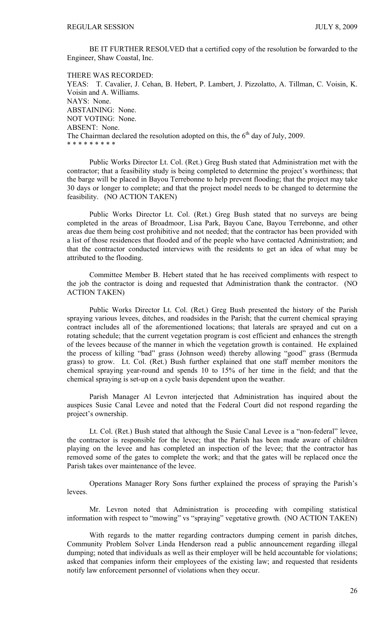BE IT FURTHER RESOLVED that a certified copy of the resolution be forwarded to the Engineer, Shaw Coastal, Inc.

THERE WAS RECORDED: YEAS: T. Cavalier, J. Cehan, B. Hebert, P. Lambert, J. Pizzolatto, A. Tillman, C. Voisin, K. Voisin and A. Williams. NAYS: None. ABSTAINING: None. NOT VOTING: None. ABSENT: None. The Chairman declared the resolution adopted on this, the  $6<sup>th</sup>$  day of July, 2009. \* \* \* \* \* \* \* \* \*

Public Works Director Lt. Col. (Ret.) Greg Bush stated that Administration met with the contractor; that a feasibility study is being completed to determine the project's worthiness; that the barge will be placed in Bayou Terrebonne to help prevent flooding; that the project may take 30 days or longer to complete; and that the project model needs to be changed to determine the feasibility. (NO ACTION TAKEN)

 Public Works Director Lt. Col. (Ret.) Greg Bush stated that no surveys are being completed in the areas of Broadmoor, Lisa Park, Bayou Cane, Bayou Terrebonne, and other areas due them being cost prohibitive and not needed; that the contractor has been provided with a list of those residences that flooded and of the people who have contacted Administration; and that the contractor conducted interviews with the residents to get an idea of what may be attributed to the flooding.

 Committee Member B. Hebert stated that he has received compliments with respect to the job the contractor is doing and requested that Administration thank the contractor. (NO ACTION TAKEN)

 Public Works Director Lt. Col. (Ret.) Greg Bush presented the history of the Parish spraying various levees, ditches, and roadsides in the Parish; that the current chemical spraying contract includes all of the aforementioned locations; that laterals are sprayed and cut on a rotating schedule; that the current vegetation program is cost efficient and enhances the strength of the levees because of the manner in which the vegetation growth is contained. He explained the process of killing "bad" grass (Johnson weed) thereby allowing "good" grass (Bermuda grass) to grow. Lt. Col. (Ret.) Bush further explained that one staff member monitors the chemical spraying year-round and spends 10 to 15% of her time in the field; and that the chemical spraying is set-up on a cycle basis dependent upon the weather.

 Parish Manager Al Levron interjected that Administration has inquired about the auspices Susie Canal Levee and noted that the Federal Court did not respond regarding the project's ownership.

 Lt. Col. (Ret.) Bush stated that although the Susie Canal Levee is a "non-federal" levee, the contractor is responsible for the levee; that the Parish has been made aware of children playing on the levee and has completed an inspection of the levee; that the contractor has removed some of the gates to complete the work; and that the gates will be replaced once the Parish takes over maintenance of the levee.

 Operations Manager Rory Sons further explained the process of spraying the Parish's levees.

 Mr. Levron noted that Administration is proceeding with compiling statistical information with respect to "mowing" vs "spraying" vegetative growth. (NO ACTION TAKEN)

 With regards to the matter regarding contractors dumping cement in parish ditches, Community Problem Solver Linda Henderson read a public announcement regarding illegal dumping; noted that individuals as well as their employer will be held accountable for violations; asked that companies inform their employees of the existing law; and requested that residents notify law enforcement personnel of violations when they occur.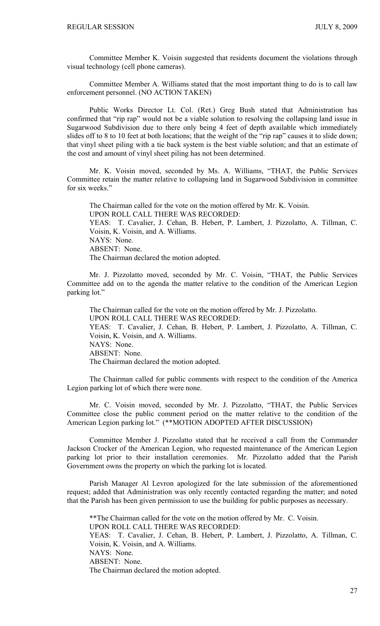Committee Member K. Voisin suggested that residents document the violations through visual technology (cell phone cameras).

Committee Member A. Williams stated that the most important thing to do is to call law enforcement personnel. (NO ACTION TAKEN)

 Public Works Director Lt. Col. (Ret.) Greg Bush stated that Administration has confirmed that "rip rap" would not be a viable solution to resolving the collapsing land issue in Sugarwood Subdivision due to there only being 4 feet of depth available which immediately slides off to 8 to 10 feet at both locations; that the weight of the "rip rap" causes it to slide down; that vinyl sheet piling with a tie back system is the best viable solution; and that an estimate of the cost and amount of vinyl sheet piling has not been determined.

Mr. K. Voisin moved, seconded by Ms. A. Williams, "THAT, the Public Services Committee retain the matter relative to collapsing land in Sugarwood Subdivision in committee for six weeks."

The Chairman called for the vote on the motion offered by Mr. K. Voisin. UPON ROLL CALL THERE WAS RECORDED: YEAS: T. Cavalier, J. Cehan, B. Hebert, P. Lambert, J. Pizzolatto, A. Tillman, C. Voisin, K. Voisin, and A. Williams. NAYS: None. ABSENT: None. The Chairman declared the motion adopted.

 Mr. J. Pizzolatto moved, seconded by Mr. C. Voisin, "THAT, the Public Services Committee add on to the agenda the matter relative to the condition of the American Legion parking lot."

 The Chairman called for the vote on the motion offered by Mr. J. Pizzolatto. UPON ROLL CALL THERE WAS RECORDED: YEAS: T. Cavalier, J. Cehan, B. Hebert, P. Lambert, J. Pizzolatto, A. Tillman, C. Voisin, K. Voisin, and A. Williams. NAYS: None. ABSENT: None. The Chairman declared the motion adopted.

 The Chairman called for public comments with respect to the condition of the America Legion parking lot of which there were none.

 Mr. C. Voisin moved, seconded by Mr. J. Pizzolatto, "THAT, the Public Services Committee close the public comment period on the matter relative to the condition of the American Legion parking lot." (\*\*MOTION ADOPTED AFTER DISCUSSION)

 Committee Member J. Pizzolatto stated that he received a call from the Commander Jackson Crocker of the American Legion, who requested maintenance of the American Legion parking lot prior to their installation ceremonies. Mr. Pizzolatto added that the Parish Government owns the property on which the parking lot is located.

 Parish Manager Al Levron apologized for the late submission of the aforementioned request; added that Administration was only recently contacted regarding the matter; and noted that the Parish has been given permission to use the building for public purposes as necessary.

 \*\*The Chairman called for the vote on the motion offered by Mr. C. Voisin. UPON ROLL CALL THERE WAS RECORDED: YEAS: T. Cavalier, J. Cehan, B. Hebert, P. Lambert, J. Pizzolatto, A. Tillman, C. Voisin, K. Voisin, and A. Williams. NAYS: None. ABSENT: None. The Chairman declared the motion adopted.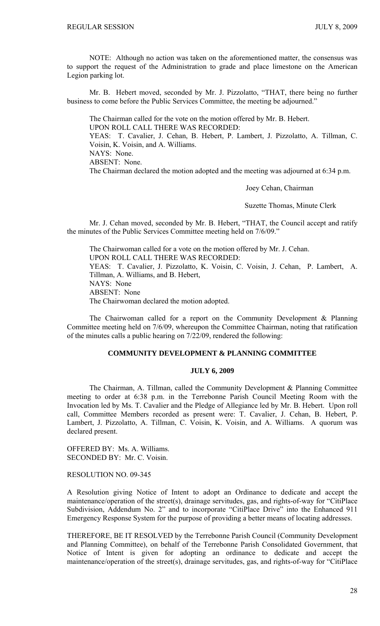NOTE: Although no action was taken on the aforementioned matter, the consensus was to support the request of the Administration to grade and place limestone on the American Legion parking lot.

 Mr. B. Hebert moved, seconded by Mr. J. Pizzolatto, "THAT, there being no further business to come before the Public Services Committee, the meeting be adjourned."

 The Chairman called for the vote on the motion offered by Mr. B. Hebert. UPON ROLL CALL THERE WAS RECORDED: YEAS: T. Cavalier, J. Cehan, B. Hebert, P. Lambert, J. Pizzolatto, A. Tillman, C. Voisin, K. Voisin, and A. Williams. NAYS: None. ABSENT: None. The Chairman declared the motion adopted and the meeting was adjourned at 6:34 p.m.

Joey Cehan, Chairman

Suzette Thomas, Minute Clerk

Mr. J. Cehan moved, seconded by Mr. B. Hebert, "THAT, the Council accept and ratify the minutes of the Public Services Committee meeting held on 7/6/09."

 The Chairwoman called for a vote on the motion offered by Mr. J. Cehan. UPON ROLL CALL THERE WAS RECORDED: YEAS: T. Cavalier, J. Pizzolatto, K. Voisin, C. Voisin, J. Cehan, P. Lambert, A. Tillman, A. Williams, and B. Hebert, NAYS: None ABSENT: None The Chairwoman declared the motion adopted.

 The Chairwoman called for a report on the Community Development & Planning Committee meeting held on 7/6/09, whereupon the Committee Chairman, noting that ratification of the minutes calls a public hearing on 7/22/09, rendered the following:

# **COMMUNITY DEVELOPMENT & PLANNING COMMITTEE**

# **JULY 6, 2009**

 The Chairman, A. Tillman, called the Community Development & Planning Committee meeting to order at 6:38 p.m. in the Terrebonne Parish Council Meeting Room with the Invocation led by Ms. T. Cavalier and the Pledge of Allegiance led by Mr. B. Hebert. Upon roll call, Committee Members recorded as present were: T. Cavalier, J. Cehan, B. Hebert, P. Lambert, J. Pizzolatto, A. Tillman, C. Voisin, K. Voisin, and A. Williams. A quorum was declared present.

OFFERED BY: Ms. A. Williams. SECONDED BY: Mr. C. Voisin.

RESOLUTION NO. 09-345

A Resolution giving Notice of Intent to adopt an Ordinance to dedicate and accept the maintenance/operation of the street(s), drainage servitudes, gas, and rights-of-way for "CitiPlace Subdivision, Addendum No. 2" and to incorporate "CitiPlace Drive" into the Enhanced 911 Emergency Response System for the purpose of providing a better means of locating addresses.

THEREFORE, BE IT RESOLVED by the Terrebonne Parish Council (Community Development and Planning Committee), on behalf of the Terrebonne Parish Consolidated Government, that Notice of Intent is given for adopting an ordinance to dedicate and accept the maintenance/operation of the street(s), drainage servitudes, gas, and rights-of-way for "CitiPlace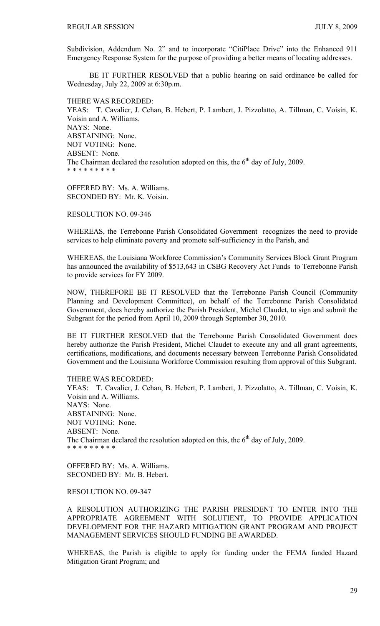Subdivision, Addendum No. 2" and to incorporate "CitiPlace Drive" into the Enhanced 911 Emergency Response System for the purpose of providing a better means of locating addresses.

 BE IT FURTHER RESOLVED that a public hearing on said ordinance be called for Wednesday, July 22, 2009 at 6:30p.m.

THERE WAS RECORDED: YEAS: T. Cavalier, J. Cehan, B. Hebert, P. Lambert, J. Pizzolatto, A. Tillman, C. Voisin, K. Voisin and A. Williams. NAYS: None. ABSTAINING: None. NOT VOTING: None. ABSENT: None. The Chairman declared the resolution adopted on this, the  $6<sup>th</sup>$  day of July, 2009. \* \* \* \* \* \* \* \* \*

OFFERED BY: Ms. A. Williams. SECONDED BY: Mr. K. Voisin.

RESOLUTION NO. 09-346

WHEREAS, the Terrebonne Parish Consolidated Government recognizes the need to provide services to help eliminate poverty and promote self-sufficiency in the Parish, and

WHEREAS, the Louisiana Workforce Commission's Community Services Block Grant Program has announced the availability of \$513,643 in CSBG Recovery Act Funds to Terrebonne Parish to provide services for FY 2009.

NOW, THEREFORE BE IT RESOLVED that the Terrebonne Parish Council (Community Planning and Development Committee), on behalf of the Terrebonne Parish Consolidated Government, does hereby authorize the Parish President, Michel Claudet, to sign and submit the Subgrant for the period from April 10, 2009 through September 30, 2010.

BE IT FURTHER RESOLVED that the Terrebonne Parish Consolidated Government does hereby authorize the Parish President, Michel Claudet to execute any and all grant agreements, certifications, modifications, and documents necessary between Terrebonne Parish Consolidated Government and the Louisiana Workforce Commission resulting from approval of this Subgrant.

THERE WAS RECORDED: YEAS: T. Cavalier, J. Cehan, B. Hebert, P. Lambert, J. Pizzolatto, A. Tillman, C. Voisin, K. Voisin and A. Williams. NAYS: None. ABSTAINING: None. NOT VOTING: None. ABSENT: None. The Chairman declared the resolution adopted on this, the  $6<sup>th</sup>$  day of July, 2009. \* \* \* \* \* \* \* \* \*

OFFERED BY: Ms. A. Williams. SECONDED BY: Mr. B. Hebert.

RESOLUTION NO. 09-347

A RESOLUTION AUTHORIZING THE PARISH PRESIDENT TO ENTER INTO THE APPROPRIATE AGREEMENT WITH SOLUTIENT, TO PROVIDE APPLICATION DEVELOPMENT FOR THE HAZARD MITIGATION GRANT PROGRAM AND PROJECT MANAGEMENT SERVICES SHOULD FUNDING BE AWARDED.

WHEREAS, the Parish is eligible to apply for funding under the FEMA funded Hazard Mitigation Grant Program; and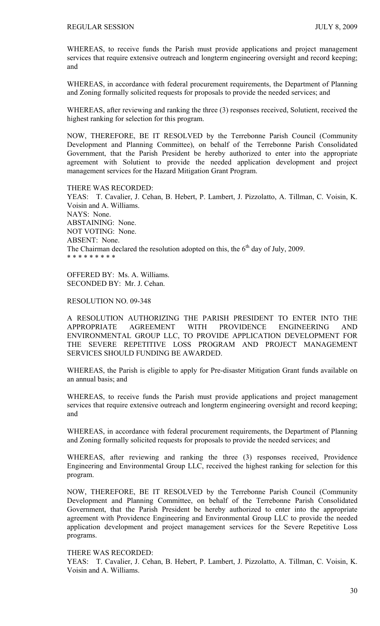WHEREAS, to receive funds the Parish must provide applications and project management services that require extensive outreach and longterm engineering oversight and record keeping; and

WHEREAS, in accordance with federal procurement requirements, the Department of Planning and Zoning formally solicited requests for proposals to provide the needed services; and

WHEREAS, after reviewing and ranking the three (3) responses received, Solutient, received the highest ranking for selection for this program.

NOW, THEREFORE, BE IT RESOLVED by the Terrebonne Parish Council (Community Development and Planning Committee), on behalf of the Terrebonne Parish Consolidated Government, that the Parish President be hereby authorized to enter into the appropriate agreement with Solutient to provide the needed application development and project management services for the Hazard Mitigation Grant Program.

#### THERE WAS RECORDED:

YEAS: T. Cavalier, J. Cehan, B. Hebert, P. Lambert, J. Pizzolatto, A. Tillman, C. Voisin, K. Voisin and A. Williams. NAYS: None. ABSTAINING: None. NOT VOTING: None. ABSENT: None. The Chairman declared the resolution adopted on this, the  $6<sup>th</sup>$  day of July, 2009. \* \* \* \* \* \* \* \* \*

OFFERED BY: Ms. A. Williams. SECONDED BY: Mr. J. Cehan.

#### RESOLUTION NO. 09-348

A RESOLUTION AUTHORIZING THE PARISH PRESIDENT TO ENTER INTO THE APPROPRIATE AGREEMENT WITH PROVIDENCE ENGINEERING AND ENVIRONMENTAL GROUP LLC, TO PROVIDE APPLICATION DEVELOPMENT FOR THE SEVERE REPETITIVE LOSS PROGRAM AND PROJECT MANAGEMENT SERVICES SHOULD FUNDING BE AWARDED.

WHEREAS, the Parish is eligible to apply for Pre-disaster Mitigation Grant funds available on an annual basis; and

WHEREAS, to receive funds the Parish must provide applications and project management services that require extensive outreach and longterm engineering oversight and record keeping; and

WHEREAS, in accordance with federal procurement requirements, the Department of Planning and Zoning formally solicited requests for proposals to provide the needed services; and

WHEREAS, after reviewing and ranking the three (3) responses received, Providence Engineering and Environmental Group LLC, received the highest ranking for selection for this program.

NOW, THEREFORE, BE IT RESOLVED by the Terrebonne Parish Council (Community Development and Planning Committee, on behalf of the Terrebonne Parish Consolidated Government, that the Parish President be hereby authorized to enter into the appropriate agreement with Providence Engineering and Environmental Group LLC to provide the needed application development and project management services for the Severe Repetitive Loss programs.

#### THERE WAS RECORDED:

YEAS: T. Cavalier, J. Cehan, B. Hebert, P. Lambert, J. Pizzolatto, A. Tillman, C. Voisin, K. Voisin and A. Williams.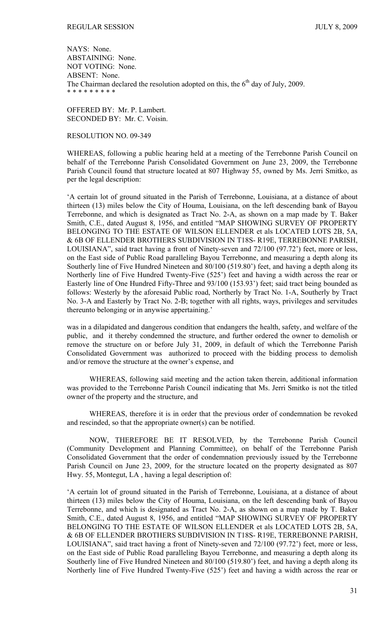NAYS: None. ABSTAINING: None. NOT VOTING: None. ABSENT: None. The Chairman declared the resolution adopted on this, the  $6<sup>th</sup>$  day of July, 2009. \* \* \* \* \* \* \* \* \*

OFFERED BY: Mr. P. Lambert. SECONDED BY: Mr. C. Voisin.

## RESOLUTION NO. 09-349

WHEREAS, following a public hearing held at a meeting of the Terrebonne Parish Council on behalf of the Terrebonne Parish Consolidated Government on June 23, 2009, the Terrebonne Parish Council found that structure located at 807 Highway 55, owned by Ms. Jerri Smitko, as per the legal description:

'A certain lot of ground situated in the Parish of Terrebonne, Louisiana, at a distance of about thirteen (13) miles below the City of Houma, Louisiana, on the left descending bank of Bayou Terrebonne, and which is designated as Tract No. 2-A, as shown on a map made by T. Baker Smith, C.E., dated August 8, 1956, and entitled "MAP SHOWING SURVEY OF PROPERTY BELONGING TO THE ESTATE OF WILSON ELLENDER et als LOCATED LOTS 2B, 5A, & 6B OF ELLENDER BROTHERS SUBDIVISION IN T18S- R19E, TERREBONNE PARISH, LOUISIANA", said tract having a front of Ninety-seven and 72/100 (97.72') feet, more or less, on the East side of Public Road paralleling Bayou Terrebonne, and measuring a depth along its Southerly line of Five Hundred Nineteen and 80/100 (519.80') feet, and having a depth along its Northerly line of Five Hundred Twenty-Five (525') feet and having a width across the rear or Easterly line of One Hundred Fifty-Three and 93/100 (153.93') feet; said tract being bounded as follows: Westerly by the aforesaid Public road, Northerly by Tract No. 1-A, Southerly by Tract No. 3-A and Easterly by Tract No. 2-B; together with all rights, ways, privileges and servitudes thereunto belonging or in anywise appertaining.'

was in a dilapidated and dangerous condition that endangers the health, safety, and welfare of the public, and it thereby condemned the structure, and further ordered the owner to demolish or remove the structure on or before July 31, 2009, in default of which the Terrebonne Parish Consolidated Government was authorized to proceed with the bidding process to demolish and/or remove the structure at the owner's expense, and

 WHEREAS, following said meeting and the action taken therein, additional information was provided to the Terrebonne Parish Council indicating that Ms. Jerri Smitko is not the titled owner of the property and the structure, and

 WHEREAS, therefore it is in order that the previous order of condemnation be revoked and rescinded, so that the appropriate owner(s) can be notified.

 NOW, THEREFORE BE IT RESOLVED, by the Terrebonne Parish Council (Community Development and Planning Committee), on behalf of the Terrebonne Parish Consolidated Government that the order of condemnation previously issued by the Terrebonne Parish Council on June 23, 2009, for the structure located on the property designated as 807 Hwy. 55, Montegut, LA , having a legal description of:

'A certain lot of ground situated in the Parish of Terrebonne, Louisiana, at a distance of about thirteen (13) miles below the City of Houma, Louisiana, on the left descending bank of Bayou Terrebonne, and which is designated as Tract No. 2-A, as shown on a map made by T. Baker Smith, C.E., dated August 8, 1956, and entitled "MAP SHOWING SURVEY OF PROPERTY BELONGING TO THE ESTATE OF WILSON ELLENDER et als LOCATED LOTS 2B, 5A, & 6B OF ELLENDER BROTHERS SUBDIVISION IN T18S- R19E, TERREBONNE PARISH, LOUISIANA", said tract having a front of Ninety-seven and 72/100 (97.72') feet, more or less, on the East side of Public Road paralleling Bayou Terrebonne, and measuring a depth along its Southerly line of Five Hundred Nineteen and 80/100 (519.80') feet, and having a depth along its Northerly line of Five Hundred Twenty-Five (525') feet and having a width across the rear or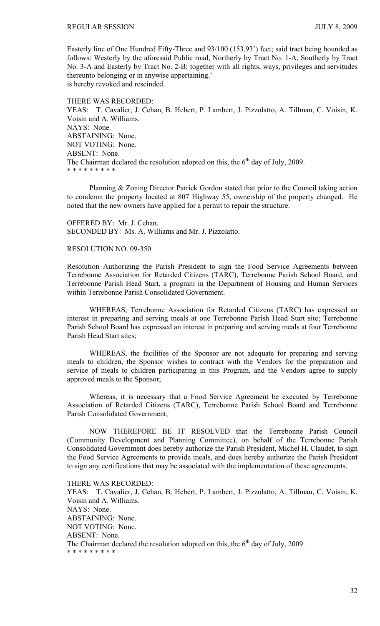Easterly line of One Hundred Fifty-Three and 93/100 (153.93') feet; said tract being bounded as follows: Westerly by the aforesaid Public road, Northerly by Tract No. 1-A, Southerly by Tract No. 3-A and Easterly by Tract No. 2-B; together with all rights, ways, privileges and servitudes thereunto belonging or in anywise appertaining.' is hereby revoked and rescinded.

#### THERE WAS RECORDED:

YEAS: T. Cavalier, J. Cehan, B. Hebert, P. Lambert, J. Pizzolatto, A. Tillman, C. Voisin, K. Voisin and A. Williams. NAYS: None. ABSTAINING: None. NOT VOTING: None. ABSENT: None. The Chairman declared the resolution adopted on this, the  $6<sup>th</sup>$  day of July, 2009. \* \* \* \* \* \* \* \* \*

 Planning & Zoning Director Patrick Gordon stated that prior to the Council taking action to condemn the property located at 807 Highway 55, ownership of the property changed. He noted that the new owners have applied for a permit to repair the structure.

OFFERED BY: Mr. J. Cehan. SECONDED BY: Ms. A. Williams and Mr. J. Pizzolatto.

# RESOLUTION NO. 09-350

Resolution Authorizing the Parish President to sign the Food Service Agreements between Terrebonne Association for Retarded Citizens (TARC), Terrebonne Parish School Board, and Terrebonne Parish Head Start, a program in the Department of Housing and Human Services within Terrebonne Parish Consolidated Government.

 WHEREAS, Terrebonne Association for Retarded Citizens (TARC) has expressed an interest in preparing and serving meals at one Terrebonne Parish Head Start site; Terrebonne Parish School Board has expressed an interest in preparing and serving meals at four Terrebonne Parish Head Start sites;

 WHEREAS, the facilities of the Sponsor are not adequate for preparing and serving meals to children, the Sponsor wishes to contract with the Vendors for the preparation and service of meals to children participating in this Program, and the Vendors agree to supply approved meals to the Sponsor;

 Whereas, it is necessary that a Food Service Agreement be executed by Terrebonne Association of Retarded Citizens (TARC), Terrebonne Parish School Board and Terrebonne Parish Consolidated Government;

 NOW THEREFORE BE IT RESOLVED that the Terrebonne Parish Council (Community Development and Planning Committee), on behalf of the Terrebonne Parish Consolidated Government does hereby authorize the Parish President, Michel H. Claudet, to sign the Food Service Agreements to provide meals, and does hereby authorize the Parish President to sign any certifications that may be associated with the implementation of these agreements.

#### THERE WAS RECORDED:

YEAS: T. Cavalier, J. Cehan, B. Hebert, P. Lambert, J. Pizzolatto, A. Tillman, C. Voisin, K. Voisin and A. Williams. NAYS: None. ABSTAINING: None. NOT VOTING: None. ABSENT: None. The Chairman declared the resolution adopted on this, the  $6<sup>th</sup>$  day of July, 2009. \* \* \* \* \* \* \* \* \*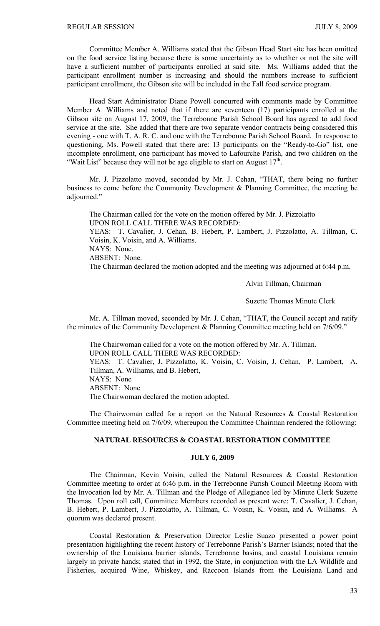Committee Member A. Williams stated that the Gibson Head Start site has been omitted on the food service listing because there is some uncertainty as to whether or not the site will have a sufficient number of participants enrolled at said site. Ms. Williams added that the participant enrollment number is increasing and should the numbers increase to sufficient participant enrollment, the Gibson site will be included in the Fall food service program.

 Head Start Administrator Diane Powell concurred with comments made by Committee Member A. Williams and noted that if there are seventeen (17) participants enrolled at the Gibson site on August 17, 2009, the Terrebonne Parish School Board has agreed to add food service at the site. She added that there are two separate vendor contracts being considered this evening - one with T. A. R. C. and one with the Terrebonne Parish School Board. In response to questioning, Ms. Powell stated that there are: 13 participants on the "Ready-to-Go" list, one incomplete enrollment, one participant has moved to Lafourche Parish, and two children on the "Wait List" because they will not be age eligible to start on August  $17<sup>th</sup>$ .

 Mr. J. Pizzolatto moved, seconded by Mr. J. Cehan, "THAT, there being no further business to come before the Community Development & Planning Committee, the meeting be adjourned."

 The Chairman called for the vote on the motion offered by Mr. J. Pizzolatto UPON ROLL CALL THERE WAS RECORDED: YEAS: T. Cavalier, J. Cehan, B. Hebert, P. Lambert, J. Pizzolatto, A. Tillman, C. Voisin, K. Voisin, and A. Williams. NAYS: None. ABSENT: None. The Chairman declared the motion adopted and the meeting was adjourned at 6:44 p.m.

Alvin Tillman, Chairman

Suzette Thomas Minute Clerk

Mr. A. Tillman moved, seconded by Mr. J. Cehan, "THAT, the Council accept and ratify the minutes of the Community Development & Planning Committee meeting held on 7/6/09."

 The Chairwoman called for a vote on the motion offered by Mr. A. Tillman. UPON ROLL CALL THERE WAS RECORDED: YEAS: T. Cavalier, J. Pizzolatto, K. Voisin, C. Voisin, J. Cehan, P. Lambert, A. Tillman, A. Williams, and B. Hebert, NAYS: None ABSENT: None The Chairwoman declared the motion adopted.

 The Chairwoman called for a report on the Natural Resources & Coastal Restoration Committee meeting held on 7/6/09, whereupon the Committee Chairman rendered the following:

# **NATURAL RESOURCES & COASTAL RESTORATION COMMITTEE**

## **JULY 6, 2009**

 The Chairman, Kevin Voisin, called the Natural Resources & Coastal Restoration Committee meeting to order at 6:46 p.m. in the Terrebonne Parish Council Meeting Room with the Invocation led by Mr. A. Tillman and the Pledge of Allegiance led by Minute Clerk Suzette Thomas. Upon roll call, Committee Members recorded as present were: T. Cavalier, J. Cehan, B. Hebert, P. Lambert, J. Pizzolatto, A. Tillman, C. Voisin, K. Voisin, and A. Williams. A quorum was declared present.

 Coastal Restoration & Preservation Director Leslie Suazo presented a power point presentation highlighting the recent history of Terrebonne Parish's Barrier Islands; noted that the ownership of the Louisiana barrier islands, Terrebonne basins, and coastal Louisiana remain largely in private hands; stated that in 1992, the State, in conjunction with the LA Wildlife and Fisheries, acquired Wine, Whiskey, and Raccoon Islands from the Louisiana Land and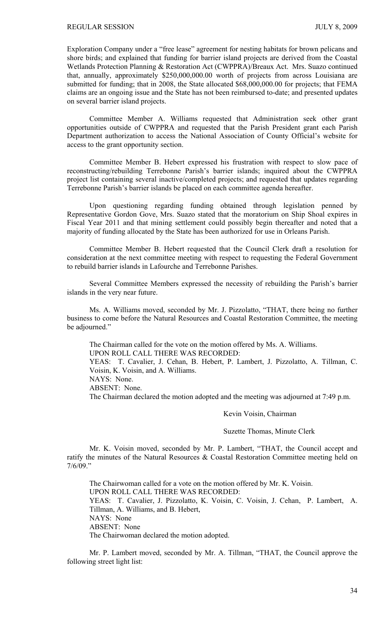Exploration Company under a "free lease" agreement for nesting habitats for brown pelicans and shore birds; and explained that funding for barrier island projects are derived from the Coastal Wetlands Protection Planning & Restoration Act (CWPPRA)/Breaux Act. Mrs. Suazo continued that, annually, approximately \$250,000,000.00 worth of projects from across Louisiana are submitted for funding; that in 2008, the State allocated \$68,000,000.00 for projects; that FEMA claims are an ongoing issue and the State has not been reimbursed to-date; and presented updates on several barrier island projects.

 Committee Member A. Williams requested that Administration seek other grant opportunities outside of CWPPRA and requested that the Parish President grant each Parish Department authorization to access the National Association of County Official's website for access to the grant opportunity section.

 Committee Member B. Hebert expressed his frustration with respect to slow pace of reconstructing/rebuilding Terrebonne Parish's barrier islands; inquired about the CWPPRA project list containing several inactive/completed projects; and requested that updates regarding Terrebonne Parish's barrier islands be placed on each committee agenda hereafter.

 Upon questioning regarding funding obtained through legislation penned by Representative Gordon Gove, Mrs. Suazo stated that the moratorium on Ship Shoal expires in Fiscal Year 2011 and that mining settlement could possibly begin thereafter and noted that a majority of funding allocated by the State has been authorized for use in Orleans Parish.

 Committee Member B. Hebert requested that the Council Clerk draft a resolution for consideration at the next committee meeting with respect to requesting the Federal Government to rebuild barrier islands in Lafourche and Terrebonne Parishes.

 Several Committee Members expressed the necessity of rebuilding the Parish's barrier islands in the very near future.

 Ms. A. Williams moved, seconded by Mr. J. Pizzolatto, "THAT, there being no further business to come before the Natural Resources and Coastal Restoration Committee, the meeting be adjourned."

 The Chairman called for the vote on the motion offered by Ms. A. Williams. UPON ROLL CALL THERE WAS RECORDED:

YEAS: T. Cavalier, J. Cehan, B. Hebert, P. Lambert, J. Pizzolatto, A. Tillman, C. Voisin, K. Voisin, and A. Williams.

NAYS: None.

ABSENT: None.

The Chairman declared the motion adopted and the meeting was adjourned at 7:49 p.m.

#### Kevin Voisin, Chairman

Suzette Thomas, Minute Clerk

 Mr. K. Voisin moved, seconded by Mr. P. Lambert, "THAT, the Council accept and ratify the minutes of the Natural Resources & Coastal Restoration Committee meeting held on 7/6/09."

 The Chairwoman called for a vote on the motion offered by Mr. K. Voisin. UPON ROLL CALL THERE WAS RECORDED: YEAS: T. Cavalier, J. Pizzolatto, K. Voisin, C. Voisin, J. Cehan, P. Lambert, A. Tillman, A. Williams, and B. Hebert, NAYS: None ABSENT: None The Chairwoman declared the motion adopted.

 Mr. P. Lambert moved, seconded by Mr. A. Tillman, "THAT, the Council approve the following street light list: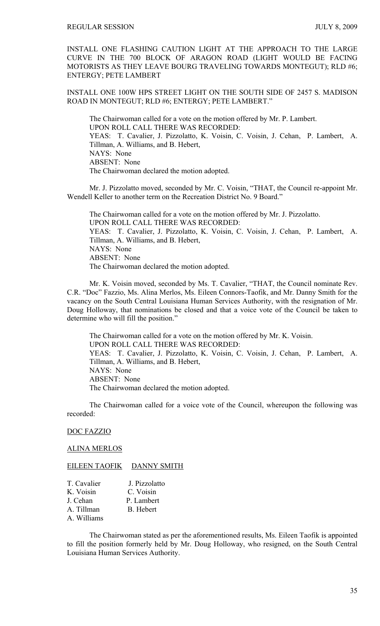INSTALL ONE FLASHING CAUTION LIGHT AT THE APPROACH TO THE LARGE CURVE IN THE 700 BLOCK OF ARAGON ROAD (LIGHT WOULD BE FACING MOTORISTS AS THEY LEAVE BOURG TRAVELING TOWARDS MONTEGUT); RLD #6; ENTERGY; PETE LAMBERT

INSTALL ONE 100W HPS STREET LIGHT ON THE SOUTH SIDE OF 2457 S. MADISON ROAD IN MONTEGUT; RLD #6; ENTERGY; PETE LAMBERT."

The Chairwoman called for a vote on the motion offered by Mr. P. Lambert. UPON ROLL CALL THERE WAS RECORDED: YEAS: T. Cavalier, J. Pizzolatto, K. Voisin, C. Voisin, J. Cehan, P. Lambert, A. Tillman, A. Williams, and B. Hebert, NAYS: None ABSENT: None The Chairwoman declared the motion adopted.

 Mr. J. Pizzolatto moved, seconded by Mr. C. Voisin, "THAT, the Council re-appoint Mr. Wendell Keller to another term on the Recreation District No. 9 Board."

 The Chairwoman called for a vote on the motion offered by Mr. J. Pizzolatto. UPON ROLL CALL THERE WAS RECORDED: YEAS: T. Cavalier, J. Pizzolatto, K. Voisin, C. Voisin, J. Cehan, P. Lambert, A. Tillman, A. Williams, and B. Hebert, NAYS: None ABSENT: None The Chairwoman declared the motion adopted.

 Mr. K. Voisin moved, seconded by Ms. T. Cavalier, "THAT, the Council nominate Rev. C.R. "Doc" Fazzio, Ms. Alina Merlos, Ms. Eileen Connors-Taofik, and Mr. Danny Smith for the vacancy on the South Central Louisiana Human Services Authority, with the resignation of Mr. Doug Holloway, that nominations be closed and that a voice vote of the Council be taken to determine who will fill the position."

 The Chairwoman called for a vote on the motion offered by Mr. K. Voisin. UPON ROLL CALL THERE WAS RECORDED: YEAS: T. Cavalier, J. Pizzolatto, K. Voisin, C. Voisin, J. Cehan, P. Lambert, A. Tillman, A. Williams, and B. Hebert, NAYS: None ABSENT: None The Chairwoman declared the motion adopted.

 The Chairwoman called for a voice vote of the Council, whereupon the following was recorded:

#### DOC FAZZIO

## ALINA MERLOS

EILEEN TAOFIK DANNY SMITH

| T. Cavalier | J. Pizzolatto |
|-------------|---------------|
| K. Voisin   | C. Voisin     |
| J. Cehan    | P. Lambert    |
| A. Tillman  | B. Hebert     |
| A. Williams |               |

 The Chairwoman stated as per the aforementioned results, Ms. Eileen Taofik is appointed to fill the position formerly held by Mr. Doug Holloway, who resigned, on the South Central Louisiana Human Services Authority.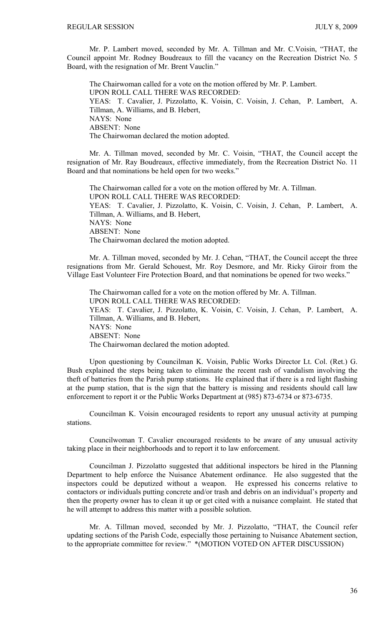Mr. P. Lambert moved, seconded by Mr. A. Tillman and Mr. C.Voisin, "THAT, the Council appoint Mr. Rodney Boudreaux to fill the vacancy on the Recreation District No. 5 Board, with the resignation of Mr. Brent Vauclin."

 The Chairwoman called for a vote on the motion offered by Mr. P. Lambert. UPON ROLL CALL THERE WAS RECORDED: YEAS: T. Cavalier, J. Pizzolatto, K. Voisin, C. Voisin, J. Cehan, P. Lambert, A. Tillman, A. Williams, and B. Hebert, NAYS: None ABSENT: None The Chairwoman declared the motion adopted.

 Mr. A. Tillman moved, seconded by Mr. C. Voisin, "THAT, the Council accept the resignation of Mr. Ray Boudreaux, effective immediately, from the Recreation District No. 11 Board and that nominations be held open for two weeks."

 The Chairwoman called for a vote on the motion offered by Mr. A. Tillman. UPON ROLL CALL THERE WAS RECORDED: YEAS: T. Cavalier, J. Pizzolatto, K. Voisin, C. Voisin, J. Cehan, P. Lambert, A. Tillman, A. Williams, and B. Hebert, NAYS: None ABSENT: None The Chairwoman declared the motion adopted.

 Mr. A. Tillman moved, seconded by Mr. J. Cehan, "THAT, the Council accept the three resignations from Mr. Gerald Schouest, Mr. Roy Desmore, and Mr. Ricky Giroir from the Village East Volunteer Fire Protection Board, and that nominations be opened for two weeks."

 The Chairwoman called for a vote on the motion offered by Mr. A. Tillman. UPON ROLL CALL THERE WAS RECORDED: YEAS: T. Cavalier, J. Pizzolatto, K. Voisin, C. Voisin, J. Cehan, P. Lambert, A. Tillman, A. Williams, and B. Hebert, NAYS: None ABSENT: None The Chairwoman declared the motion adopted.

 Upon questioning by Councilman K. Voisin, Public Works Director Lt. Col. (Ret.) G. Bush explained the steps being taken to eliminate the recent rash of vandalism involving the theft of batteries from the Parish pump stations. He explained that if there is a red light flashing at the pump station, that is the sign that the battery is missing and residents should call law enforcement to report it or the Public Works Department at (985) 873-6734 or 873-6735.

 Councilman K. Voisin encouraged residents to report any unusual activity at pumping stations.

 Councilwoman T. Cavalier encouraged residents to be aware of any unusual activity taking place in their neighborhoods and to report it to law enforcement.

 Councilman J. Pizzolatto suggested that additional inspectors be hired in the Planning Department to help enforce the Nuisance Abatement ordinance. He also suggested that the inspectors could be deputized without a weapon. He expressed his concerns relative to contactors or individuals putting concrete and/or trash and debris on an individual's property and then the property owner has to clean it up or get cited with a nuisance complaint. He stated that he will attempt to address this matter with a possible solution.

 Mr. A. Tillman moved, seconded by Mr. J. Pizzolatto, "THAT, the Council refer updating sections of the Parish Code, especially those pertaining to Nuisance Abatement section, to the appropriate committee for review." \*(MOTION VOTED ON AFTER DISCUSSION)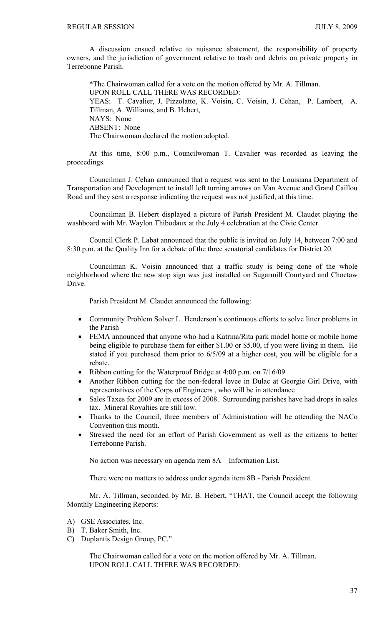A discussion ensued relative to nuisance abatement, the responsibility of property owners, and the jurisdiction of government relative to trash and debris on private property in Terrebonne Parish.

 \*The Chairwoman called for a vote on the motion offered by Mr. A. Tillman. UPON ROLL CALL THERE WAS RECORDED: YEAS: T. Cavalier, J. Pizzolatto, K. Voisin, C. Voisin, J. Cehan, P. Lambert, A. Tillman, A. Williams, and B. Hebert, NAYS: None ABSENT: None The Chairwoman declared the motion adopted.

At this time, 8:00 p.m., Councilwoman T. Cavalier was recorded as leaving the proceedings.

 Councilman J. Cehan announced that a request was sent to the Louisiana Department of Transportation and Development to install left turning arrows on Van Avenue and Grand Caillou Road and they sent a response indicating the request was not justified, at this time.

 Councilman B. Hebert displayed a picture of Parish President M. Claudet playing the washboard with Mr. Waylon Thibodaux at the July 4 celebration at the Civic Center.

 Council Clerk P. Labat announced that the public is invited on July 14, between 7:00 and 8:30 p.m. at the Quality Inn for a debate of the three senatorial candidates for District 20.

 Councilman K. Voisin announced that a traffic study is being done of the whole neighborhood where the new stop sign was just installed on Sugarmill Courtyard and Choctaw Drive.

Parish President M. Claudet announced the following:

- Community Problem Solver L. Henderson's continuous efforts to solve litter problems in the Parish
- FEMA announced that anyone who had a Katrina/Rita park model home or mobile home being eligible to purchase them for either \$1.00 or \$5.00, if you were living in them. He stated if you purchased them prior to 6/5/09 at a higher cost, you will be eligible for a rebate.
- Ribbon cutting for the Waterproof Bridge at 4:00 p.m. on 7/16/09
- Another Ribbon cutting for the non-federal levee in Dulac at Georgie Girl Drive, with representatives of the Corps of Engineers , who will be in attendance
- Sales Taxes for 2009 are in excess of 2008. Surrounding parishes have had drops in sales tax. Mineral Royalties are still low.
- Thanks to the Council, three members of Administration will be attending the NACo Convention this month.
- Stressed the need for an effort of Parish Government as well as the citizens to better Terrebonne Parish.

No action was necessary on agenda item 8A – Information List.

There were no matters to address under agenda item 8B - Parish President.

 Mr. A. Tillman, seconded by Mr. B. Hebert, "THAT, the Council accept the following Monthly Engineering Reports:

- A) GSE Associates, Inc.
- B) T. Baker Smith, Inc.
- C) Duplantis Design Group, PC."

 The Chairwoman called for a vote on the motion offered by Mr. A. Tillman. UPON ROLL CALL THERE WAS RECORDED: